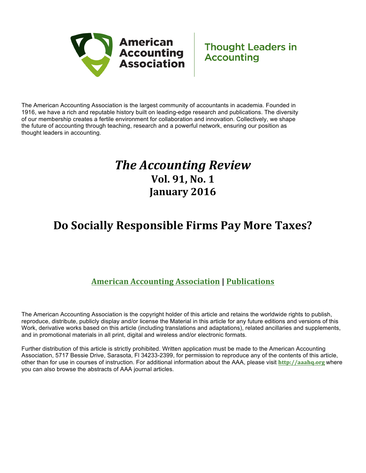

The American Accounting Association is the largest community of accountants in academia. Founded in 1916, we have a rich and reputable history built on leading-edge research and publications. The diversity of our membership creates a fertile environment for collaboration and innovation. Collectively, we shape the future of accounting through teaching, research and a powerful network, ensuring our position as thought leaders in accounting.

### *The Accounting Review* **Vol. 91, No. 1 January 2016**

### **Do Socially Responsible Firms Pay More Taxes?**

### **American Accounting Association | Publications**

The American Accounting Association is the copyright holder of this article and retains the worldwide rights to publish, reproduce, distribute, publicly display and/or license the Material in this article for any future editions and versions of this Work, derivative works based on this article (including translations and adaptations), related ancillaries and supplements, and in promotional materials in all print, digital and wireless and/or electronic formats.

Further distribution of this article is strictly prohibited. Written application must be made to the American Accounting Association, 5717 Bessie Drive, Sarasota, Fl 34233-2399, for permission to reproduce any of the contents of this article, other than for use in courses of instruction. For additional information about the AAA, please visit **http://aaahq.org** where you can also browse the abstracts of AAA journal articles.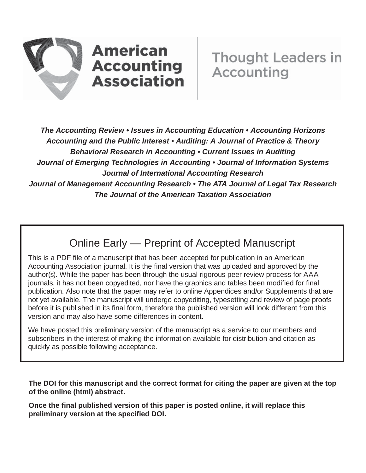

# **American Accounting Association**

*The Accounting Review • Issues in Accounting Education • Accounting Horizons Accounting and the Public Interest • Auditing: A Journal of Practice & Theory Behavioral Research in Accounting • Current Issues in Auditing Journal of Emerging Technologies in Accounting • Journal of Information Systems Journal of International Accounting Research Journal of Management Accounting Research • The ATA Journal of Legal Tax Research The Journal of the American Taxation Association*

### Online Early — Preprint of Accepted Manuscript

This is a PDF file of a manuscript that has been accepted for publication in an American Accounting Association journal. It is the final version that was uploaded and approved by the author(s). While the paper has been through the usual rigorous peer review process for AAA journals, it has not been copyedited, nor have the graphics and tables been modified for final publication. Also note that the paper may refer to online Appendices and/or Supplements that are not yet available. The manuscript will undergo copyediting, typesetting and review of page proofs before it is published in its final form, therefore the published version will look different from this version and may also have some differences in content.

We have posted this preliminary version of the manuscript as a service to our members and subscribers in the interest of making the information available for distribution and citation as quickly as possible following acceptance.

**The DOI for this manuscript and the correct format for citing the paper are given at the top of the online (html) abstract.**

**Once the final published version of this paper is posted online, it will replace this preliminary version at the specified DOI.**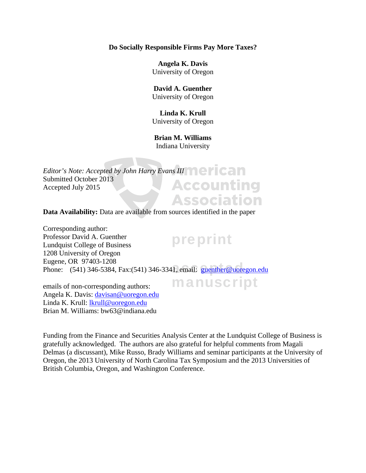#### **Do Socially Responsible Firms Pay More Taxes?**

**Angela K. Davis**  University of Oregon

#### **David A. Guenther**  University of Oregon

**Linda K. Krull**  University of Oregon

**Brian M. Williams**  Indiana University

*Editor's Note: Accepted by John Harry Evans III* **Allen Calle** Submitted October 2013 **Accounting** Accepted July 2015 **Association** 

**Data Availability:** Data are available from sources identified in the paper

preprint Eugene, OK *91*405-1206<br>Phone: (541) 346-5384, Fax:(541) 346-3341, email: **guenther@uoregon.edu** Corresponding author: Professor David A. Guenther Lundquist College of Business 1208 University of Oregon Eugene, OR 97403-1208

emails of non-corresponding authors: Angela K. Davis: davisan@uoregon.edu Linda K. Krull: lkrull@uoregon.edu Brian M. Williams: bw63@indiana.edu

Funding from the Finance and Securities Analysis Center at the Lundquist College of Business is gratefully acknowledged. The authors are also grateful for helpful comments from Magali Delmas (a discussant), Mike Russo, Brady Williams and seminar participants at the University of Oregon, the 2013 University of North Carolina Tax Symposium and the 2013 Universities of British Columbia, Oregon, and Washington Conference.

manuscript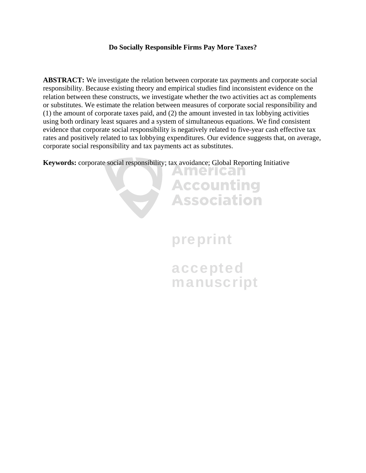#### **Do Socially Responsible Firms Pay More Taxes?**

**ABSTRACT:** We investigate the relation between corporate tax payments and corporate social responsibility. Because existing theory and empirical studies find inconsistent evidence on the relation between these constructs, we investigate whether the two activities act as complements or substitutes. We estimate the relation between measures of corporate social responsibility and (1) the amount of corporate taxes paid, and (2) the amount invested in tax lobbying activities using both ordinary least squares and a system of simultaneous equations. We find consistent evidence that corporate social responsibility is negatively related to five-year cash effective tax rates and positively related to tax lobbying expenditures. Our evidence suggests that, on average, corporate social responsibility and tax payments act as substitutes.

**Keywords:** corporate social responsibility; tax avoidance; Global Reporting Initiative

# preprint

American

**Accounting** 

**Association** 

accepted manuscript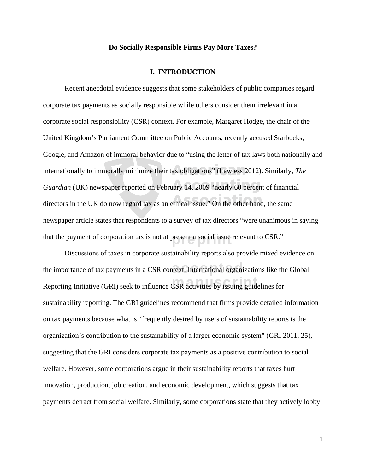#### **Do Socially Responsible Firms Pay More Taxes?**

#### **I. INTRODUCTION**

that the payment of corporation tax is not at present a social issue relevant to CSR." Recent anecdotal evidence suggests that some stakeholders of public companies regard corporate tax payments as socially responsible while others consider them irrelevant in a corporate social responsibility (CSR) context. For example, Margaret Hodge, the chair of the United Kingdom's Parliament Committee on Public Accounts, recently accused Starbucks, Google, and Amazon of immoral behavior due to "using the letter of tax laws both nationally and internationally to immorally minimize their tax obligations" (Lawless 2012). Similarly, *The Guardian* (UK) newspaper reported on February 14, 2009 "nearly 60 percent of financial directors in the UK do now regard tax as an ethical issue." On the other hand, the same newspaper article states that respondents to a survey of tax directors "were unanimous in saying

the importance of tax payments in a CSR context. International organizations like the Global Reporting Initiative (GRI) seek to influence CSR activities by issuing guidelines for Discussions of taxes in corporate sustainability reports also provide mixed evidence on sustainability reporting. The GRI guidelines recommend that firms provide detailed information on tax payments because what is "frequently desired by users of sustainability reports is the organization's contribution to the sustainability of a larger economic system" (GRI 2011, 25), suggesting that the GRI considers corporate tax payments as a positive contribution to social welfare. However, some corporations argue in their sustainability reports that taxes hurt innovation, production, job creation, and economic development, which suggests that tax payments detract from social welfare. Similarly, some corporations state that they actively lobby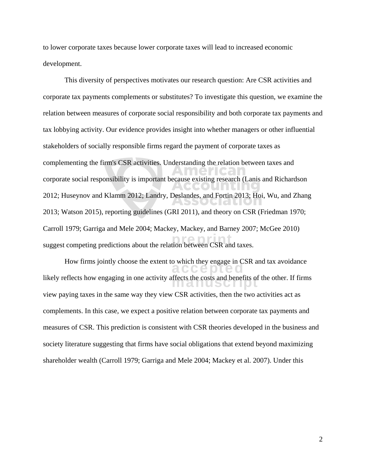to lower corporate taxes because lower corporate taxes will lead to increased economic development.

suggest competing predictions about the relation between CSR and taxes. This diversity of perspectives motivates our research question: Are CSR activities and corporate tax payments complements or substitutes? To investigate this question, we examine the relation between measures of corporate social responsibility and both corporate tax payments and tax lobbying activity. Our evidence provides insight into whether managers or other influential stakeholders of socially responsible firms regard the payment of corporate taxes as complementing the firm's CSR activities. Understanding the relation between taxes and corporate social responsibility is important because existing research (Lanis and Richardson 2012; Huseynov and Klamm 2012; Landry, Deslandes, and Fortin 2013; Hoi, Wu, and Zhang 2013; Watson 2015), reporting guidelines (GRI 2011), and theory on CSR (Friedman 1970; Carroll 1979; Garriga and Mele 2004; Mackey, Mackey, and Barney 2007; McGee 2010)

How firms jointly choose the extent to which they engage in CSR and tax avoidance likely reflects how engaging in one activity affects the costs and benefits of the other. If firms  $\frac{1}{2}$ view paying taxes in the same way they view CSR activities, then the two activities act as complements. In this case, we expect a positive relation between corporate tax payments and measures of CSR. This prediction is consistent with CSR theories developed in the business and society literature suggesting that firms have social obligations that extend beyond maximizing shareholder wealth (Carroll 1979; Garriga and Mele 2004; Mackey et al. 2007). Under this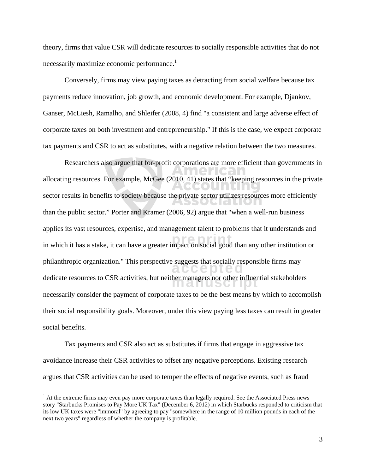theory, firms that value CSR will dedicate resources to socially responsible activities that do not necessarily maximize economic performance.<sup>1</sup>

Conversely, firms may view paying taxes as detracting from social welfare because tax payments reduce innovation, job growth, and economic development. For example, Djankov, Ganser, McLiesh, Ramalho, and Shleifer (2008, 4) find "a consistent and large adverse effect of corporate taxes on both investment and entrepreneurship." If this is the case, we expect corporate tax payments and CSR to act as substitutes, with a negative relation between the two measures.

Researchers also argue that for-profit corporations are more efficient than governments in allocating resources. For example, McGee (2010, 41) states that "keeping resources in the private sector results in benefits to society because the private sector utilizes resources more efficiently CHALLOIA than the public sector." Porter and Kramer (2006, 92) argue that "when a well-run business applies its vast resources, expertise, and management talent to problems that it understands and in which it has a stake, it can have a greater impact on social good than any other institution or philanthropic organization." This perspective suggests that socially responsible firms may dedicate resources to CSR activities, but neither managers nor other influential stakeholders necessarily consider the payment of corporate taxes to be the best means by which to accomplish their social responsibility goals. Moreover, under this view paying less taxes can result in greater social benefits.

Tax payments and CSR also act as substitutes if firms that engage in aggressive tax avoidance increase their CSR activities to offset any negative perceptions. Existing research argues that CSR activities can be used to temper the effects of negative events, such as fraud

<sup>&</sup>lt;sup>1</sup> At the extreme firms may even pay more corporate taxes than legally required. See the Associated Press news story "Starbucks Promises to Pay More UK Tax" (December 6, 2012) in which Starbucks responded to criticism that its low UK taxes were "immoral" by agreeing to pay "somewhere in the range of 10 million pounds in each of the next two years" regardless of whether the company is profitable.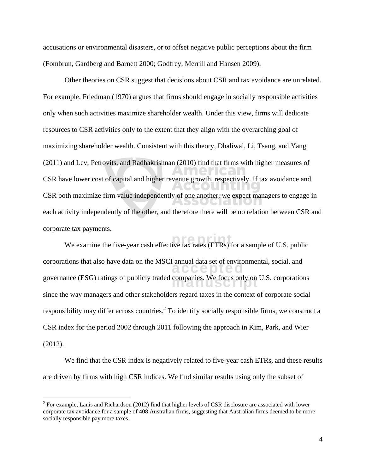accusations or environmental disasters, or to offset negative public perceptions about the firm (Fombrun, Gardberg and Barnett 2000; Godfrey, Merrill and Hansen 2009).

Other theories on CSR suggest that decisions about CSR and tax avoidance are unrelated. For example, Friedman (1970) argues that firms should engage in socially responsible activities only when such activities maximize shareholder wealth. Under this view, firms will dedicate resources to CSR activities only to the extent that they align with the overarching goal of maximizing shareholder wealth. Consistent with this theory, Dhaliwal, Li, Tsang, and Yang (2011) and Lev, Petrovits, and Radhakrishnan (2010) find that firms with higher measures of CSR have lower cost of capital and higher revenue growth, respectively. If tax avoidance and CSR both maximize firm value independently of one another, we expect managers to engage in each activity independently of the other, and therefore there will be no relation between CSR and corporate tax payments.

We examine the five-year cash effective tax rates (ETRs) for a sample of U.S. public corporations that also have data on the MSCI annual data set of environmental, social, and governance (ESG) ratings of publicly traded companies. We focus only on U.S. corporations of  $\mu$ since the way managers and other stakeholders regard taxes in the context of corporate social responsibility may differ across countries.<sup>2</sup> To identify socially responsible firms, we construct a CSR index for the period 2002 through 2011 following the approach in Kim, Park, and Wier (2012).

We find that the CSR index is negatively related to five-year cash ETRs, and these results are driven by firms with high CSR indices. We find similar results using only the subset of

 $2^2$  For example, Lanis and Richardson (2012) find that higher levels of CSR disclosure are associated with lower corporate tax avoidance for a sample of 408 Australian firms, suggesting that Australian firms deemed to be more socially responsible pay more taxes.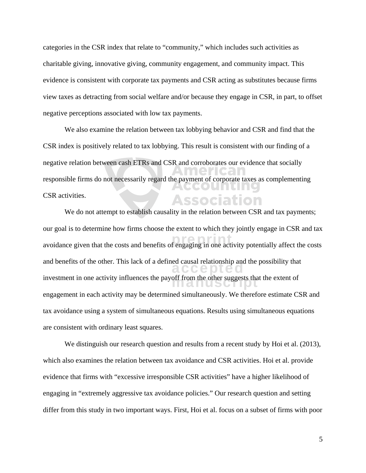categories in the CSR index that relate to "community," which includes such activities as charitable giving, innovative giving, community engagement, and community impact. This evidence is consistent with corporate tax payments and CSR acting as substitutes because firms view taxes as detracting from social welfare and/or because they engage in CSR, in part, to offset negative perceptions associated with low tax payments.

We also examine the relation between tax lobbying behavior and CSR and find that the CSR index is positively related to tax lobbying. This result is consistent with our finding of a negative relation between cash ETRs and CSR and corroborates our evidence that socially responsible firms do not necessarily regard the payment of corporate taxes as complementing CSR activities. Association

avoidance given that the costs and benefits of engaging in one activity potentially affect the costs and benefits of the other. This lack of a defined causal relationship and the possibility that investment in one activity influences the payoff from the other suggests that the extent of  $\overline{\phantom{a}}$ We do not attempt to establish causality in the relation between CSR and tax payments; our goal is to determine how firms choose the extent to which they jointly engage in CSR and tax engagement in each activity may be determined simultaneously. We therefore estimate CSR and tax avoidance using a system of simultaneous equations. Results using simultaneous equations are consistent with ordinary least squares.

We distinguish our research question and results from a recent study by Hoi et al. (2013), which also examines the relation between tax avoidance and CSR activities. Hoi et al. provide evidence that firms with "excessive irresponsible CSR activities" have a higher likelihood of engaging in "extremely aggressive tax avoidance policies." Our research question and setting differ from this study in two important ways. First, Hoi et al. focus on a subset of firms with poor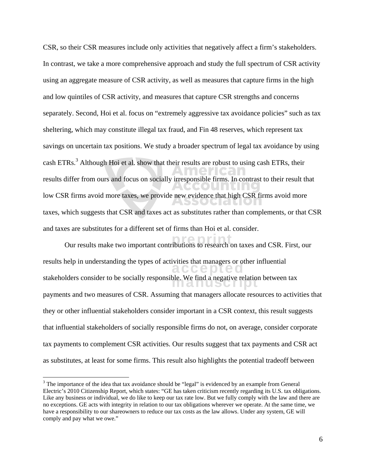CSR, so their CSR measures include only activities that negatively affect a firm's stakeholders. In contrast, we take a more comprehensive approach and study the full spectrum of CSR activity using an aggregate measure of CSR activity, as well as measures that capture firms in the high and low quintiles of CSR activity, and measures that capture CSR strengths and concerns separately. Second, Hoi et al. focus on "extremely aggressive tax avoidance policies" such as tax sheltering, which may constitute illegal tax fraud, and Fin 48 reserves, which represent tax savings on uncertain tax positions. We study a broader spectrum of legal tax avoidance by using cash ETRs.<sup>3</sup> Although Hoi et al. show that their results are robust to using cash ETRs, their results differ from ours and focus on socially irresponsible firms. In contrast to their result that low CSR firms avoid more taxes, we provide new evidence that high CSR firms avoid more taxes, which suggests that CSR and taxes act as substitutes rather than complements, or that CSR and taxes are substitutes for a different set of firms than Hoi et al. consider.

Our results make two important contributions to research on taxes and CSR. First, our results help in understanding the types of activities that managers or other influential  $\mathbb{C} \subset \mathbb{C} \subset \mathbb{C}$ stakeholders consider to be socially responsible. We find a negative relation between tax payments and two measures of CSR. Assuming that managers allocate resources to activities that they or other influential stakeholders consider important in a CSR context, this result suggests that influential stakeholders of socially responsible firms do not, on average, consider corporate tax payments to complement CSR activities. Our results suggest that tax payments and CSR act as substitutes, at least for some firms. This result also highlights the potential tradeoff between

 $3$  The importance of the idea that tax avoidance should be "legal" is evidenced by an example from General Electric's 2010 Citizenship Report, which states: "GE has taken criticism recently regarding its U.S. tax obligations. Like any business or individual, we do like to keep our tax rate low. But we fully comply with the law and there are no exceptions. GE acts with integrity in relation to our tax obligations wherever we operate. At the same time, we have a responsibility to our shareowners to reduce our tax costs as the law allows. Under any system, GE will comply and pay what we owe."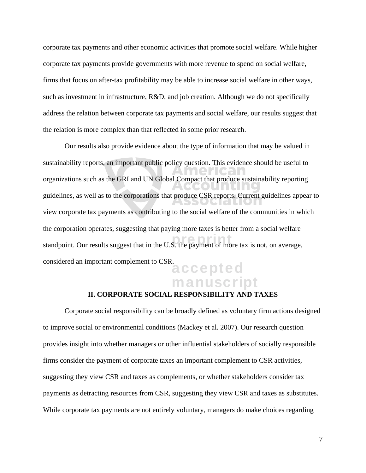corporate tax payments and other economic activities that promote social welfare. While higher corporate tax payments provide governments with more revenue to spend on social welfare, firms that focus on after-tax profitability may be able to increase social welfare in other ways, such as investment in infrastructure, R&D, and job creation. Although we do not specifically address the relation between corporate tax payments and social welfare, our results suggest that the relation is more complex than that reflected in some prior research.

standpoint. Our results suggest that in the U.S. the payment of more tax is not, on average, considered an important complement to CSR.<br> **accepted** Our results also provide evidence about the type of information that may be valued in sustainability reports, an important public policy question. This evidence should be useful to organizations such as the GRI and UN Global Compact that produce sustainability reporting guidelines, as well as to the corporations that produce CSR reports. Current guidelines appear to view corporate tax payments as contributing to the social welfare of the communities in which the corporation operates, suggesting that paying more taxes is better from a social welfare

# manuscript

#### **II. CORPORATE SOCIAL RESPONSIBILITY AND TAXES**

Corporate social responsibility can be broadly defined as voluntary firm actions designed to improve social or environmental conditions (Mackey et al. 2007). Our research question provides insight into whether managers or other influential stakeholders of socially responsible firms consider the payment of corporate taxes an important complement to CSR activities, suggesting they view CSR and taxes as complements, or whether stakeholders consider tax payments as detracting resources from CSR, suggesting they view CSR and taxes as substitutes. While corporate tax payments are not entirely voluntary, managers do make choices regarding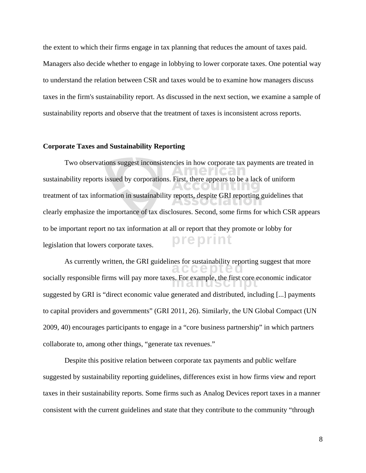the extent to which their firms engage in tax planning that reduces the amount of taxes paid. Managers also decide whether to engage in lobbying to lower corporate taxes. One potential way to understand the relation between CSR and taxes would be to examine how managers discuss taxes in the firm's sustainability report. As discussed in the next section, we examine a sample of sustainability reports and observe that the treatment of taxes is inconsistent across reports.

#### **Corporate Taxes and Sustainability Reporting**

preprint Two observations suggest inconsistencies in how corporate tax payments are treated in sustainability reports issued by corporations. First, there appears to be a lack of uniform treatment of tax information in sustainability reports, despite GRI reporting guidelines that clearly emphasize the importance of tax disclosures. Second, some firms for which CSR appears to be important report no tax information at all or report that they promote or lobby for legislation that lowers corporate taxes.

As currently written, the GRI guidelines for sustainability reporting suggest that more socially responsible firms will pay more taxes. For example, the first core economic indicator<br> suggested by GRI is "direct economic value generated and distributed, including [...] payments to capital providers and governments" (GRI 2011, 26). Similarly, the UN Global Compact (UN 2009, 40) encourages participants to engage in a "core business partnership" in which partners collaborate to, among other things, "generate tax revenues."

Despite this positive relation between corporate tax payments and public welfare suggested by sustainability reporting guidelines, differences exist in how firms view and report taxes in their sustainability reports. Some firms such as Analog Devices report taxes in a manner consistent with the current guidelines and state that they contribute to the community "through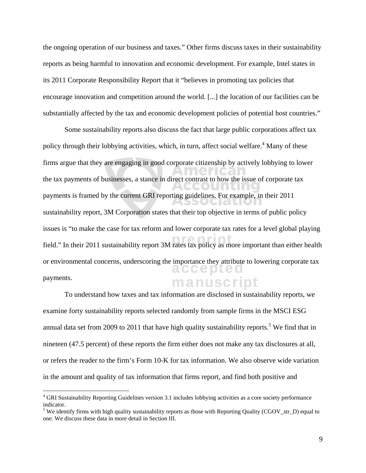the ongoing operation of our business and taxes." Other firms discuss taxes in their sustainability reports as being harmful to innovation and economic development. For example, Intel states in its 2011 Corporate Responsibility Report that it "believes in promoting tax policies that encourage innovation and competition around the world. [...] the location of our facilities can be substantially affected by the tax and economic development policies of potential host countries."

field." In their 2011 sustainability report 3M rates tax policy as more important than either health alceepile manuscript Some sustainability reports also discuss the fact that large public corporations affect tax policy through their lobbying activities, which, in turn, affect social welfare.<sup>4</sup> Many of these firms argue that they are engaging in good corporate citizenship by actively lobbying to lower the tax payments of businesses, a stance in direct contrast to how the issue of corporate tax payments is framed by the current GRI reporting guidelines. For example, in their 2011 sustainability report, 3M Corporation states that their top objective in terms of public policy issues is "to make the case for tax reform and lower corporate tax rates for a level global playing or environmental concerns, underscoring the importance they attribute to lowering corporate tax payments.

To understand how taxes and tax information are disclosed in sustainability reports, we examine forty sustainability reports selected randomly from sample firms in the MSCI ESG annual data set from 2009 to 2011 that have high quality sustainability reports.<sup>5</sup> We find that in nineteen (47.5 percent) of these reports the firm either does not make any tax disclosures at all, or refers the reader to the firm's Form 10-K for tax information. We also observe wide variation in the amount and quality of tax information that firms report, and find both positive and

<sup>&</sup>lt;sup>4</sup> GRI Sustainability Reporting Guidelines version 3.1 includes lobbying activities as a core society performance indicator.

<sup>&</sup>lt;sup>5</sup> We identify firms with high quality sustainability reports as those with Reporting Quality (CGOV\_str\_D) equal to one. We discuss these data in more detail in Section III.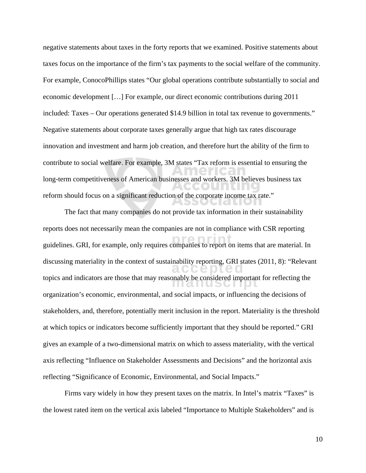negative statements about taxes in the forty reports that we examined. Positive statements about taxes focus on the importance of the firm's tax payments to the social welfare of the community. For example, ConocoPhillips states "Our global operations contribute substantially to social and economic development […] For example, our direct economic contributions during 2011 included: Taxes – Our operations generated \$14.9 billion in total tax revenue to governments." Negative statements about corporate taxes generally argue that high tax rates discourage innovation and investment and harm job creation, and therefore hurt the ability of the firm to contribute to social welfare. For example, 3M states "Tax reform is essential to ensuring the long-term competitiveness of American businesses and workers. 3M believes business tax reform should focus on a significant reduction of the corporate income tax rate."

guidelines. GRI, for example, only requires companies to report on items that are material. In discussing materiality in the context of sustainability reporting, GRI states (2011, 8): "Relevant topics and indicators are those that may reasonably be considered important for reflecting the topics and indicators are those that may reasonably be considered important for reflecting the The fact that many companies do not provide tax information in their sustainability reports does not necessarily mean the companies are not in compliance with CSR reporting organization's economic, environmental, and social impacts, or influencing the decisions of stakeholders, and, therefore, potentially merit inclusion in the report. Materiality is the threshold at which topics or indicators become sufficiently important that they should be reported." GRI gives an example of a two-dimensional matrix on which to assess materiality, with the vertical axis reflecting "Influence on Stakeholder Assessments and Decisions" and the horizontal axis reflecting "Significance of Economic, Environmental, and Social Impacts."

Firms vary widely in how they present taxes on the matrix. In Intel's matrix "Taxes" is the lowest rated item on the vertical axis labeled "Importance to Multiple Stakeholders" and is

10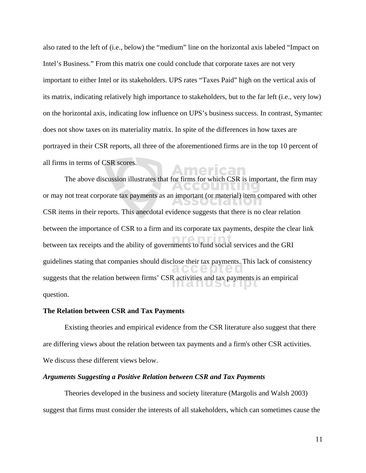also rated to the left of (i.e., below) the "medium" line on the horizontal axis labeled "Impact on Intel's Business." From this matrix one could conclude that corporate taxes are not very important to either Intel or its stakeholders. UPS rates "Taxes Paid" high on the vertical axis of its matrix, indicating relatively high importance to stakeholders, but to the far left (i.e., very low) on the horizontal axis, indicating low influence on UPS's business success. In contrast, Symantec does not show taxes on its materiality matrix. In spite of the differences in how taxes are portrayed in their CSR reports, all three of the aforementioned firms are in the top 10 percent of all firms in terms of CSR scores.

between tax receipts and the ability of governments to fund social services and the GRI guidelines stating that companies should disclose their tax payments. This lack of consistency suggests that the relation between firms' CSR activities and tax payments is an empirical subsets. The above discussion illustrates that for firms for which CSR is important, the firm may or may not treat corporate tax payments as an important (or material) item compared with other CSR items in their reports. This anecdotal evidence suggests that there is no clear relation between the importance of CSR to a firm and its corporate tax payments, despite the clear link question.

#### **The Relation between CSR and Tax Payments**

Existing theories and empirical evidence from the CSR literature also suggest that there are differing views about the relation between tax payments and a firm's other CSR activities. We discuss these different views below.

#### *Arguments Suggesting a Positive Relation between CSR and Tax Payments*

Theories developed in the business and society literature (Margolis and Walsh 2003) suggest that firms must consider the interests of all stakeholders, which can sometimes cause the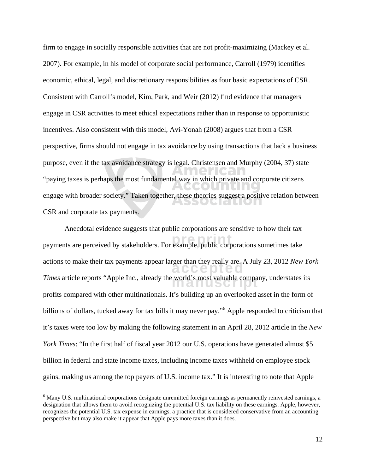firm to engage in socially responsible activities that are not profit-maximizing (Mackey et al. 2007). For example, in his model of corporate social performance, Carroll (1979) identifies economic, ethical, legal, and discretionary responsibilities as four basic expectations of CSR. Consistent with Carroll's model, Kim, Park, and Weir (2012) find evidence that managers engage in CSR activities to meet ethical expectations rather than in response to opportunistic incentives. Also consistent with this model, Avi-Yonah (2008) argues that from a CSR perspective, firms should not engage in tax avoidance by using transactions that lack a business purpose, even if the tax avoidance strategy is legal. Christensen and Murphy (2004, 37) state "paying taxes is perhaps the most fundamental way in which private and corporate citizens DU IT engage with broader society." Taken together, these theories suggest a positive relation between **РУЛЛЕНИ**С CSR and corporate tax payments.

payments are perceived by stakeholders. For example, public corporations sometimes take actions to make their tax payments appear larger than they really are. A July 23, 2012 *New York Times* article reports "Apple Inc., already the world's most valuable company, understates its Anecdotal evidence suggests that public corporations are sensitive to how their tax profits compared with other multinationals. It's building up an overlooked asset in the form of billions of dollars, tucked away for tax bills it may never pay."<sup>6</sup> Apple responded to criticism that it's taxes were too low by making the following statement in an April 28, 2012 article in the *New York Times*: "In the first half of fiscal year 2012 our U.S. operations have generated almost \$5 billion in federal and state income taxes, including income taxes withheld on employee stock gains, making us among the top payers of U.S. income tax." It is interesting to note that Apple

<sup>&</sup>lt;sup>6</sup> Many U.S. multinational corporations designate unremitted foreign earnings as permanently reinvested earnings, a designation that allows them to avoid recognizing the potential U.S. tax liability on these earnings. Apple, however, recognizes the potential U.S. tax expense in earnings, a practice that is considered conservative from an accounting perspective but may also make it appear that Apple pays more taxes than it does.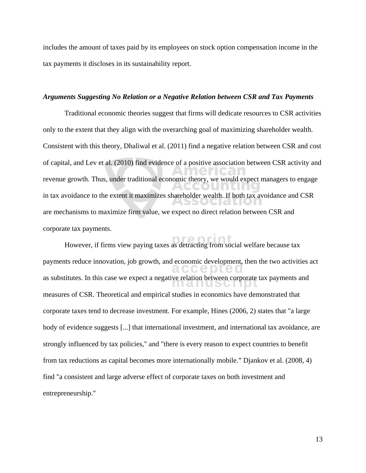includes the amount of taxes paid by its employees on stock option compensation income in the tax payments it discloses in its sustainability report.

#### *Arguments Suggesting No Relation or a Negative Relation between CSR and Tax Payments*

Traditional economic theories suggest that firms will dedicate resources to CSR activities only to the extent that they align with the overarching goal of maximizing shareholder wealth. Consistent with this theory, Dhaliwal et al. (2011) find a negative relation between CSR and cost of capital, and Lev et al. (2010) find evidence of a positive association between CSR activity and revenue growth. Thus, under traditional economic theory, we would expect managers to engage in tax avoidance to the extent it maximizes shareholder wealth. If both tax avoidance and CSR are mechanisms to maximize firm value, we expect no direct relation between CSR and corporate tax payments.

However, if firms view paying taxes as detracting from social welfare because tax payments reduce innovation, job growth, and economic development, then the two activities act as substitutes. In this case we expect a negative relation between corporate tax payments and  $\overline{\phantom{a}}$ measures of CSR. Theoretical and empirical studies in economics have demonstrated that corporate taxes tend to decrease investment. For example, Hines (2006, 2) states that "a large body of evidence suggests [...] that international investment, and international tax avoidance, are strongly influenced by tax policies," and "there is every reason to expect countries to benefit from tax reductions as capital becomes more internationally mobile." Djankov et al. (2008, 4) find "a consistent and large adverse effect of corporate taxes on both investment and entrepreneurship."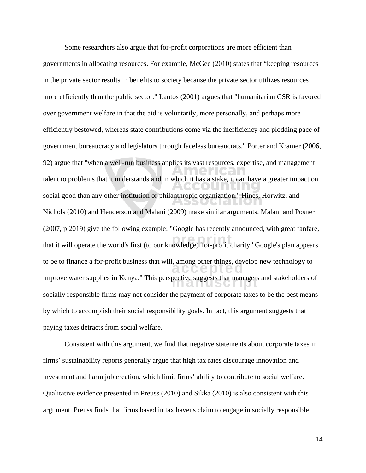that it will operate the world's first (to our knowledge) 'for-profit charity.' Google's plan appears to be to finance a for-profit business that will, among other things, develop new technology to improve water supplies in Kenya." This perspective suggests that managers and stakeholders of Some researchers also argue that for-profit corporations are more efficient than governments in allocating resources. For example, McGee (2010) states that "keeping resources in the private sector results in benefits to society because the private sector utilizes resources more efficiently than the public sector." Lantos (2001) argues that "humanitarian CSR is favored over government welfare in that the aid is voluntarily, more personally, and perhaps more efficiently bestowed, whereas state contributions come via the inefficiency and plodding pace of government bureaucracy and legislators through faceless bureaucrats." Porter and Kramer (2006, 92) argue that "when a well-run business applies its vast resources, expertise, and management talent to problems that it understands and in which it has a stake, it can have a greater impact on social good than any other institution or philanthropic organization." Hines, Horwitz, and Nichols (2010) and Henderson and Malani (2009) make similar arguments. Malani and Posner (2007, p 2019) give the following example: "Google has recently announced, with great fanfare, socially responsible firms may not consider the payment of corporate taxes to be the best means by which to accomplish their social responsibility goals. In fact, this argument suggests that paying taxes detracts from social welfare.

Consistent with this argument, we find that negative statements about corporate taxes in firms' sustainability reports generally argue that high tax rates discourage innovation and investment and harm job creation, which limit firms' ability to contribute to social welfare. Qualitative evidence presented in Preuss (2010) and Sikka (2010) is also consistent with this argument. Preuss finds that firms based in tax havens claim to engage in socially responsible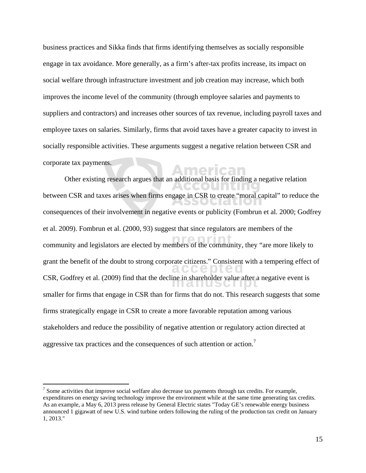business practices and Sikka finds that firms identifying themselves as socially responsible engage in tax avoidance. More generally, as a firm's after-tax profits increase, its impact on social welfare through infrastructure investment and job creation may increase, which both improves the income level of the community (through employee salaries and payments to suppliers and contractors) and increases other sources of tax revenue, including payroll taxes and employee taxes on salaries. Similarly, firms that avoid taxes have a greater capacity to invest in socially responsible activities. These arguments suggest a negative relation between CSR and corporate tax payments.

nerican

Other existing research argues that an additional basis for finding a negative relation between CSR and taxes arises when firms engage in CSR to create "moral capital" to reduce the AIGHUN consequences of their involvement in negative events or publicity (Fombrun et al. 2000; Godfrey et al. 2009). Fombrun et al. (2000, 93) suggest that since regulators are members of the community and legislators are elected by members of the community, they "are more likely to grant the benefit of the doubt to strong corporate citizens." Consistent with a tempering effect of CSR, Godfrey et al. (2009) find that the decline in shareholder value after a negative event is smaller for firms that engage in CSR than for firms that do not. This research suggests that some firms strategically engage in CSR to create a more favorable reputation among various stakeholders and reduce the possibility of negative attention or regulatory action directed at aggressive tax practices and the consequences of such attention or action.<sup>7</sup>

 $<sup>7</sup>$  Some activities that improve social welfare also decrease tax payments through tax credits. For example,</sup> expenditures on energy saving technology improve the environment while at the same time generating tax credits. As an example, a May 6, 2013 press release by General Electric states "Today GE's renewable energy business announced 1 gigawatt of new U.S. wind turbine orders following the ruling of the production tax credit on January 1, 2013."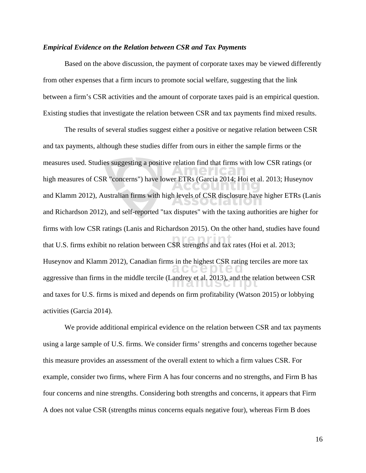#### *Empirical Evidence on the Relation between CSR and Tax Payments*

Based on the above discussion, the payment of corporate taxes may be viewed differently from other expenses that a firm incurs to promote social welfare, suggesting that the link between a firm's CSR activities and the amount of corporate taxes paid is an empirical question. Existing studies that investigate the relation between CSR and tax payments find mixed results.

that U.S. firms exhibit no relation between CSR strengths and tax rates (Hoi et al. 2013; Huseynov and Klamm 2012), Canadian firms in the highest CSR rating terciles are more tax aggressive than firms in the middle tercile (Landrey et al. 2013), and the relation between CSR<br> The results of several studies suggest either a positive or negative relation between CSR and tax payments, although these studies differ from ours in either the sample firms or the measures used. Studies suggesting a positive relation find that firms with low CSR ratings (or high measures of CSR "concerns") have lower ETRs (Garcia 2014; Hoi et al. 2013; Huseynov and Klamm 2012), Australian firms with high levels of CSR disclosure have higher ETRs (Lanis and Richardson 2012), and self-reported "tax disputes" with the taxing authorities are higher for firms with low CSR ratings (Lanis and Richardson 2015). On the other hand, studies have found and taxes for U.S. firms is mixed and depends on firm profitability (Watson 2015) or lobbying activities (Garcia 2014).

We provide additional empirical evidence on the relation between CSR and tax payments using a large sample of U.S. firms. We consider firms' strengths and concerns together because this measure provides an assessment of the overall extent to which a firm values CSR. For example, consider two firms, where Firm A has four concerns and no strengths, and Firm B has four concerns and nine strengths. Considering both strengths and concerns, it appears that Firm A does not value CSR (strengths minus concerns equals negative four), whereas Firm B does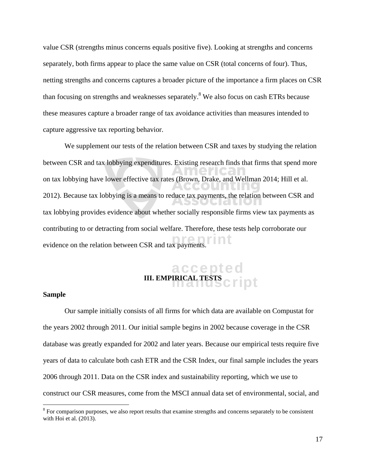value CSR (strengths minus concerns equals positive five). Looking at strengths and concerns separately, both firms appear to place the same value on CSR (total concerns of four). Thus, netting strengths and concerns captures a broader picture of the importance a firm places on CSR than focusing on strengths and weaknesses separately.<sup>8</sup> We also focus on cash ETRs because these measures capture a broader range of tax avoidance activities than measures intended to capture aggressive tax reporting behavior.

evidence on the relation between CSR and tax payments. We supplement our tests of the relation between CSR and taxes by studying the relation between CSR and tax lobbying expenditures. Existing research finds that firms that spend more on tax lobbying have lower effective tax rates (Brown, Drake, and Wellman 2014; Hill et al. 2012). Because tax lobbying is a means to reduce tax payments, the relation between CSR and tax lobbying provides evidence about whether socially responsible firms view tax payments as contributing to or detracting from social welfare. Therefore, these tests help corroborate our

### accepted **III. EMPIRICAL TESTS CHIPT**

#### **Sample**

 $\overline{a}$ 

Our sample initially consists of all firms for which data are available on Compustat for the years 2002 through 2011. Our initial sample begins in 2002 because coverage in the CSR database was greatly expanded for 2002 and later years. Because our empirical tests require five years of data to calculate both cash ETR and the CSR Index, our final sample includes the years 2006 through 2011. Data on the CSR index and sustainability reporting, which we use to construct our CSR measures, come from the MSCI annual data set of environmental, social, and

 $8$  For comparison purposes, we also report results that examine strengths and concerns separately to be consistent with Hoi et al. (2013).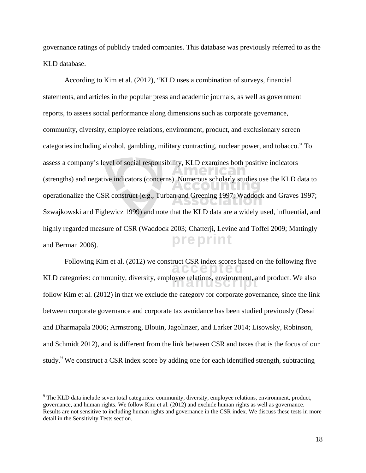governance ratings of publicly traded companies. This database was previously referred to as the KLD database.

preprint According to Kim et al. (2012), "KLD uses a combination of surveys, financial statements, and articles in the popular press and academic journals, as well as government reports, to assess social performance along dimensions such as corporate governance, community, diversity, employee relations, environment, product, and exclusionary screen categories including alcohol, gambling, military contracting, nuclear power, and tobacco." To assess a company's level of social responsibility, KLD examines both positive indicators (strengths) and negative indicators (concerns). Numerous scholarly studies use the KLD data to operationalize the CSR construct (e.g., Turban and Greening 1997; Waddock and Graves 1997; Szwajkowski and Figlewicz 1999) and note that the KLD data are a widely used, influential, and highly regarded measure of CSR (Waddock 2003; Chatterji, Levine and Toffel 2009; Mattingly and Berman 2006).

accepted Following Kim et al. (2012) we construct CSR index scores based on the following five KLD categories: community, diversity, employee relations, environment, and product. We also<br> follow Kim et al. (2012) in that we exclude the category for corporate governance, since the link between corporate governance and corporate tax avoidance has been studied previously (Desai and Dharmapala 2006; Armstrong, Blouin, Jagolinzer, and Larker 2014; Lisowsky, Robinson, and Schmidt 2012), and is different from the link between CSR and taxes that is the focus of our study.<sup>9</sup> We construct a CSR index score by adding one for each identified strength, subtracting

 $9$  The KLD data include seven total categories: community, diversity, employee relations, environment, product, governance, and human rights. We follow Kim et al. (2012) and exclude human rights as well as governance. Results are not sensitive to including human rights and governance in the CSR index. We discuss these tests in more detail in the Sensitivity Tests section.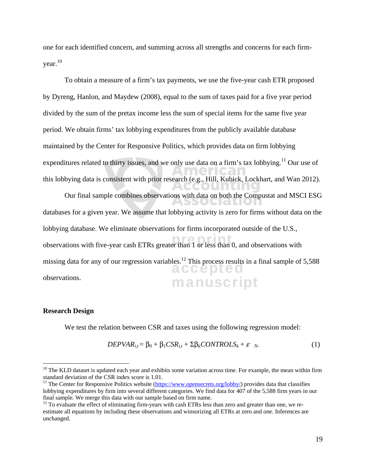one for each identified concern, and summing across all strengths and concerns for each firm $year<sup>10</sup>$ 

To obtain a measure of a firm's tax payments, we use the five-year cash ETR proposed by Dyreng, Hanlon, and Maydew (2008), equal to the sum of taxes paid for a five year period divided by the sum of the pretax income less the sum of special items for the same five year period. We obtain firms' tax lobbying expenditures from the publicly available database maintained by the Center for Responsive Politics, which provides data on firm lobbying expenditures related to thirty issues, and we only use data on a firm's tax lobbying.<sup>11</sup> Our use of this lobbying data is consistent with prior research (e.g., Hill, Kubick, Lockhart, and Wan 2012).

Our final sample combines observations with data on both the Compustat and MSCI ESG CIALIC databases for a given year. We assume that lobbying activity is zero for firms without data on the lobbying database. We eliminate observations for firms incorporated outside of the U.S., observations with five-year cash ETRs greater than 1 or less than 0, and observations with missing data for any of our regression variables.<sup>12</sup> This process results in a final sample of  $5,588$ accepted observations. manuscript

#### **Research Design**

 $\overline{a}$ 

We test the relation between CSR and taxes using the following regression model:

$$
DEPVAR_{i,t} = \beta_0 + \beta_1CSR_{i,t} + \Sigma\beta_kCONTROLS_k + \varepsilon_N. \tag{1}
$$

 $10$  The KLD dataset is updated each year and exhibits some variation across time. For example, the mean within firm standard deviation of the CSR index score is 1.01.

<sup>&</sup>lt;sup>11</sup> The Center for Responsive Politics website ( $\frac{https://www.opensecrets.org/lobby/}{https://www.opensecrets.org/lobby/}{provides data that classifiers}$ lobbying expenditures by firm into several different categories. We find data for 407 of the 5,588 firm years in our final sample. We merge this data with our sample based on firm name.

 $12$  To evaluate the effect of eliminating firm-years with cash ETRs less than zero and greater than one, we reestimate all equations by including these observations and winsorizing all ETRs at zero and one. Inferences are unchanged.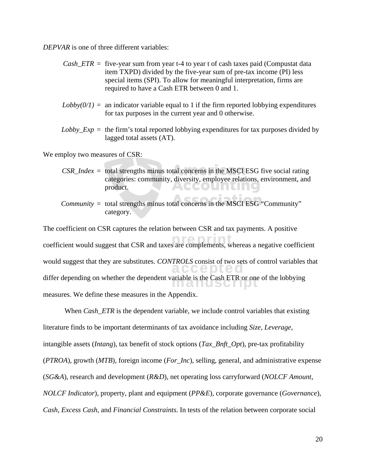*DEPVAR* is one of three different variables:

| $Cash\_ETR =$ five-year sum from year t-4 to year t of cash taxes paid (Compustat data<br>item TXPD) divided by the five-year sum of pre-tax income (PI) less<br>special items (SPI). To allow for meaningful interpretation, firms are<br>required to have a Cash ETR between 0 and 1. |
|-----------------------------------------------------------------------------------------------------------------------------------------------------------------------------------------------------------------------------------------------------------------------------------------|
| $Lobby(0/1) =$ an indicator variable equal to 1 if the firm reported lobbying expenditures<br>for tax purposes in the current year and 0 otherwise.                                                                                                                                     |
| $Lobby\_Exp =$ the firm's total reported lobbying expenditures for tax purposes divided by<br>lagged total assets (AT).                                                                                                                                                                 |
| We employ two measures of CSR:                                                                                                                                                                                                                                                          |
| $CSR\_Index =$ total strengths minus total concerns in the MSCI ESG five social rating<br>categories: community, diversity, employee relations, environment, and<br>product.                                                                                                            |
| <i>Community</i> = total strengths minus total concerns in the MSCI ESG "Community"<br>category.                                                                                                                                                                                        |
| The coefficient on CSR captures the relation between CSR and tax payments. A positive                                                                                                                                                                                                   |
| coefficient would suggest that CSR and taxes are complements, whereas a negative coefficient                                                                                                                                                                                            |
| would suggest that they are substitutes. CONTROLS consist of two sets of control variables that                                                                                                                                                                                         |
| differ depending on whether the dependent variable is the Cash ETR or one of the lobbying                                                                                                                                                                                               |
| measures. We define these measures in the Appendix.                                                                                                                                                                                                                                     |

When *Cash\_ETR* is the dependent variable, we include control variables that existing literature finds to be important determinants of tax avoidance including *Size*, *Leverage*, intangible assets (*Intang*), tax benefit of stock options (*Tax\_Bnft\_Opt*), pre-tax profitability (*PTROA*), growth (*MTB*), foreign income (*For\_Inc*), selling, general, and administrative expense (*SG&A*), research and development (*R&D*), net operating loss carryforward (*NOLCF Amount*, *NOLCF Indicator*), property, plant and equipment (*PP&E*), corporate governance (*Governance*), *Cash*, *Excess Cash*, and *Financial Constraints*. In tests of the relation between corporate social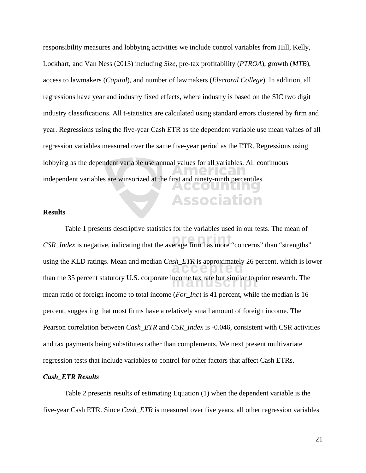responsibility measures and lobbying activities we include control variables from Hill, Kelly, Lockhart, and Van Ness (2013) including *Size*, pre-tax profitability (*PTROA*), growth (*MTB*), access to lawmakers (*Capital*), and number of lawmakers (*Electoral College*). In addition, all regressions have year and industry fixed effects, where industry is based on the SIC two digit industry classifications. All t-statistics are calculated using standard errors clustered by firm and year. Regressions using the five-year Cash ETR as the dependent variable use mean values of all regression variables measured over the same five-year period as the ETR. Regressions using lobbying as the dependent variable use annual values for all variables. All continuous independent variables are winsorized at the first and ninety-ninth percentiles. ACCOUN

**Association** 

#### **Results**

*CSR\_Index* is negative, indicating that the average firm has more "concerns" than "strengths" using the KLD ratings. Mean and median *Cash\_ETR* is approximately 26 percent, which is lower than the 35 percent statutory U.S. corporate income tax rate but similar to prior research. The Table 1 presents descriptive statistics for the variables used in our tests. The mean of mean ratio of foreign income to total income (*For\_Inc*) is 41 percent, while the median is 16 percent, suggesting that most firms have a relatively small amount of foreign income. The Pearson correlation between *Cash\_ETR* and *CSR\_Index* is -0.046, consistent with CSR activities and tax payments being substitutes rather than complements. We next present multivariate regression tests that include variables to control for other factors that affect Cash ETRs.

#### *Cash\_ETR Results*

Table 2 presents results of estimating Equation (1) when the dependent variable is the five-year Cash ETR. Since *Cash\_ETR* is measured over five years, all other regression variables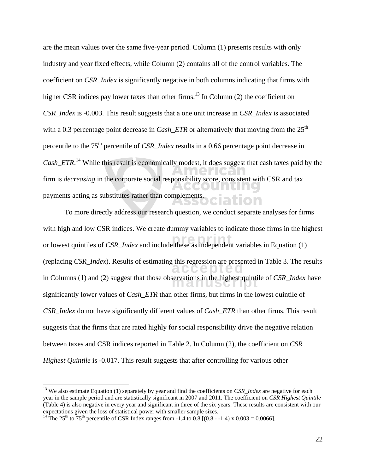are the mean values over the same five-year period. Column (1) presents results with only industry and year fixed effects, while Column (2) contains all of the control variables. The coefficient on *CSR\_Index* is significantly negative in both columns indicating that firms with higher CSR indices pay lower taxes than other firms.<sup>13</sup> In Column  $(2)$  the coefficient on *CSR\_Index* is -0.003. This result suggests that a one unit increase in *CSR\_Index* is associated with a 0.3 percentage point decrease in  $Cash\_ETR$  or alternatively that moving from the  $25<sup>th</sup>$ percentile to the 75<sup>th</sup> percentile of *CSR\_Index* results in a 0.66 percentage point decrease in *Cash\_ETR*. 14 While this result is economically modest, it does suggest that cash taxes paid by the firm is *decreasing* in the corporate social responsibility score, consistent with CSR and tax payments acting as substitutes rather than complements.

or lowest quintiles of *CSR\_Index* and include these as independent variables in Equation (1) (replacing *CSR\_Index*). Results of estimating this regression are presented in Table 3. The results in Columns (1) and (2) suggest that those observations in the highest quintile of *CSR\_Index* have the highest quintile of *CSR\_Index* have To more directly address our research question, we conduct separate analyses for firms with high and low CSR indices. We create dummy variables to indicate those firms in the highest significantly lower values of *Cash\_ETR* than other firms, but firms in the lowest quintile of *CSR\_Index* do not have significantly different values of *Cash\_ETR* than other firms. This result suggests that the firms that are rated highly for social responsibility drive the negative relation between taxes and CSR indices reported in Table 2. In Column (2), the coefficient on *CSR Highest Quintile* is -0.017. This result suggests that after controlling for various other

<sup>&</sup>lt;sup>13</sup> We also estimate Equation (1) separately by year and find the coefficients on *CSR Index* are negative for each year in the sample period and are statistically significant in 2007 and 2011. The coefficient on *CSR Highest Quintile* (Table 4) is also negative in every year and significant in three of the six years. These results are consistent with our expectations given the loss of statistical power with smaller sample sizes.

<sup>&</sup>lt;sup>14</sup> The 25<sup>th</sup> to 75<sup>th</sup> percentile of CSR Index ranges from -1.4 to 0.8 [(0.8 - -1.4) x 0.003 = 0.0066].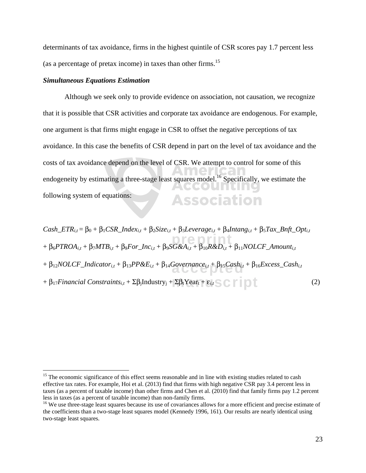determinants of tax avoidance, firms in the highest quintile of CSR scores pay 1.7 percent less (as a percentage of pretax income) in taxes than other firms.15

#### *Simultaneous Equations Estimation*

 $\overline{a}$ 

Although we seek only to provide evidence on association, not causation, we recognize that it is possible that CSR activities and corporate tax avoidance are endogenous. For example, one argument is that firms might engage in CSR to offset the negative perceptions of tax avoidance. In this case the benefits of CSR depend in part on the level of tax avoidance and the costs of tax avoidance depend on the level of CSR. We attempt to control for some of this endogeneity by estimating a three-stage least squares model.<sup>16</sup> Specifically, we estimate the AGGOUNNING following system of equations: **Association** 

+ β<sub>6</sub>*PTROA<sub>i,t</sub>* + β<sub>7</sub>*MTB*<sub>i,t</sub> + β<sub>8</sub>*For\_Inc*<sub>i,t</sub> + β<sub>9</sub>*SG&A<sub>i,t</sub> + β<sub>10</sub>R&D<sub>i,t</sub> + β<sub>11</sub>NOLCF\_Amount<sub>i,t</sub>* + β<sub>12</sub>*NOLCF\_Indicator*<sub>*i,t*</sub> + β<sub>13</sub>*PP&E<sub>i,t</sub>* + β<sub>14</sub>*Governance<sub>i,t</sub>* + β<sub>15</sub>*Cash<sub>i,t</sub>* + β<sub>16</sub>*Excess\_Cash<sub>i,t</sub></sub>*  $+ \beta_{17} Financial Constraints_{i,t} + \Sigma \beta_j Industry_j + \Sigma \beta_t Year_t + \varepsilon_{i,t} SCFT$  $Cash\_ETR_{i,t} = \beta_0 + \beta_1CSR\_Index_{i,t} + \beta_2Size_{i,t} + \beta_3Leverage_{i,t} + \beta_4Intang_{i,t} + \beta_5 Tax\_Bnft\_Opt_{i,t}$ 

<sup>&</sup>lt;sup>15</sup> The economic significance of this effect seems reasonable and in line with existing studies related to cash effective tax rates. For example, Hoi et al. (2013) find that firms with high negative CSR pay 3.4 percent less in taxes (as a percent of taxable income) than other firms and Chen et al. (2010) find that family firms pay 1.2 percent less in taxes (as a percent of taxable income) than non-family firms.

<sup>&</sup>lt;sup>16</sup> We use three-stage least squares because its use of covariances allows for a more efficient and precise estimate of the coefficients than a two-stage least squares model (Kennedy 1996, 161). Our results are nearly identical using two-stage least squares.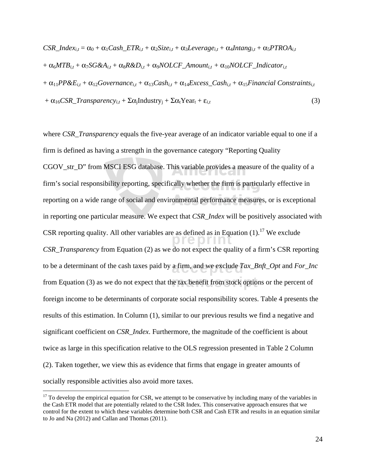$CSR\_Index_{i,t} = \alpha_0 + \alpha_1 Cash\_ETR_{i,t} + \alpha_2 Size_{i,t} + \alpha_3 Leverage_{i,t} + \alpha_4 Intang_{i,t} + \alpha_5 PTROA_{i,t}$  $+\alpha_6 M T B_{i,t} + \alpha_7 SG \& A_{i,t} + \alpha_8 R \& D_{i,t} + \alpha_9 N O L C F\_Amount_{i,t} + \alpha_{10} N O L C F\_Indication_{i,t}$  $+ \alpha_{11}PP\&E_{i,t} + \alpha_{12}Goveran{ce_{i,t}} + \alpha_{13}Cash_{i,t} + \alpha_{14}Excess\_Cash_{i,t} + \alpha_{15}Financial\ Constraints_{i,t}$  $+ \alpha_{16}CSR\_Transparency_{i,t} + \Sigma\alpha_iIndustry_i + \Sigma\alpha_tYear_t + \varepsilon_{i,t}$  (3)

 $\overline{p}$  as defined as in Equ to be a determinant of the cash taxes paid by a firm, and we exclude *Tax\_Bnft\_Opt* and *For\_Inc* from Equation (3) as we do not expect that the tax benefit from stock options or the percent of where *CSR\_Transparency* equals the five-year average of an indicator variable equal to one if a firm is defined as having a strength in the governance category "Reporting Quality CGOV\_str\_D" from MSCI ESG database. This variable provides a measure of the quality of a firm's social responsibility reporting, specifically whether the firm is particularly effective in reporting on a wide range of social and environmental performance measures, or is exceptional in reporting one particular measure. We expect that *CSR\_Index* will be positively associated with CSR reporting quality. All other variables are as defined as in Equation  $(1)$ .<sup>17</sup> We exclude *CSR\_Transparency* from Equation (2) as we do not expect the quality of a firm's CSR reporting foreign income to be determinants of corporate social responsibility scores. Table 4 presents the results of this estimation. In Column (1), similar to our previous results we find a negative and significant coefficient on *CSR\_Index*. Furthermore, the magnitude of the coefficient is about twice as large in this specification relative to the OLS regression presented in Table 2 Column (2). Taken together, we view this as evidence that firms that engage in greater amounts of socially responsible activities also avoid more taxes.

 $17$  To develop the empirical equation for CSR, we attempt to be conservative by including many of the variables in the Cash ETR model that are potentially related to the CSR Index. This conservative approach ensures that we control for the extent to which these variables determine both CSR and Cash ETR and results in an equation similar to Jo and Na (2012) and Callan and Thomas (2011).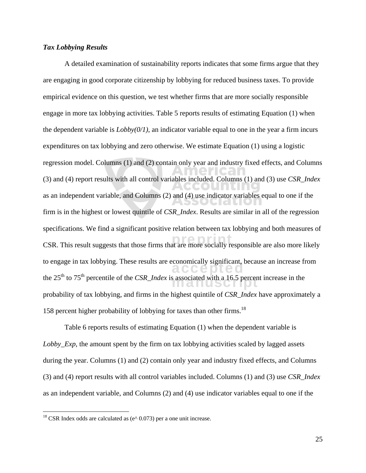#### *Tax Lobbying Results*

CSR. This result suggests that those firms that are more socially responsible are also more likely  $\epsilon$  CCC  $\geq$  0 Leo the 25<sup>th</sup> to 75<sup>th</sup> percentile of the *CSR\_Index* is associated with a 16.5 percent increase in the the 16.5 percent increase in the A detailed examination of sustainability reports indicates that some firms argue that they are engaging in good corporate citizenship by lobbying for reduced business taxes. To provide empirical evidence on this question, we test whether firms that are more socially responsible engage in more tax lobbying activities. Table 5 reports results of estimating Equation (1) when the dependent variable is  $Lobby(0/1)$ , an indicator variable equal to one in the year a firm incurs expenditures on tax lobbying and zero otherwise. We estimate Equation (1) using a logistic regression model. Columns (1) and (2) contain only year and industry fixed effects, and Columns (3) and (4) report results with all control variables included. Columns (1) and (3) use *CSR\_Index*  as an independent variable, and Columns (2) and (4) use indicator variables equal to one if the firm is in the highest or lowest quintile of *CSR\_Index*. Results are similar in all of the regression specifications. We find a significant positive relation between tax lobbying and both measures of to engage in tax lobbying. These results are economically significant, because an increase from probability of tax lobbying, and firms in the highest quintile of *CSR\_Index* have approximately a 158 percent higher probability of lobbying for taxes than other firms.<sup>18</sup>

Table 6 reports results of estimating Equation (1) when the dependent variable is *Lobby\_Exp*, the amount spent by the firm on tax lobbying activities scaled by lagged assets during the year. Columns (1) and (2) contain only year and industry fixed effects, and Columns (3) and (4) report results with all control variables included. Columns (1) and (3) use *CSR\_Index*  as an independent variable, and Columns (2) and (4) use indicator variables equal to one if the

<sup>&</sup>lt;sup>18</sup> CSR Index odds are calculated as ( $e^{\wedge}$  0.073) per a one unit increase.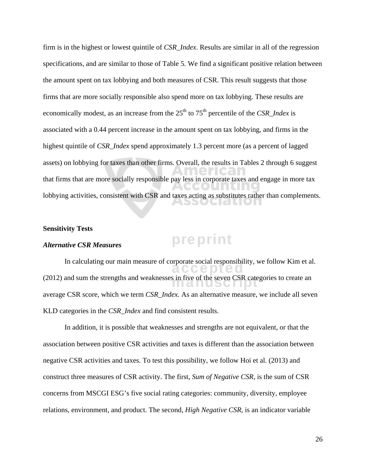firm is in the highest or lowest quintile of *CSR\_Index*. Results are similar in all of the regression specifications, and are similar to those of Table 5. We find a significant positive relation between the amount spent on tax lobbying and both measures of CSR. This result suggests that those firms that are more socially responsible also spend more on tax lobbying. These results are economically modest, as an increase from the  $25<sup>th</sup>$  to  $75<sup>th</sup>$  percentile of the *CSR* Index is associated with a 0.44 percent increase in the amount spent on tax lobbying, and firms in the highest quintile of *CSR\_Index* spend approximately 1.3 percent more (as a percent of lagged assets) on lobbying for taxes than other firms. Overall, the results in Tables 2 through 6 suggest that firms that are more socially responsible pay less in corporate taxes and engage in more tax lobbying activities, consistent with CSR and taxes acting as substitutes rather than complements.

#### **Sensitivity Tests**

#### *Alternative CSR Measures*

In calculating our main measure of corporate social responsibility, we follow Kim et al. (2012) and sum the strengths and weaknesses in five of the seven CSR categories to create an  $\frac{1}{2}$ average CSR score, which we term *CSR\_Index.* As an alternative measure, we include all seven KLD categories in the *CSR\_Index* and find consistent results.

preprint

In addition, it is possible that weaknesses and strengths are not equivalent, or that the association between positive CSR activities and taxes is different than the association between negative CSR activities and taxes. To test this possibility, we follow Hoi et al. (2013) and construct three measures of CSR activity. The first, *Sum of Negative CSR*, is the sum of CSR concerns from MSCGI ESG's five social rating categories: community, diversity, employee relations, environment, and product. The second, *High Negative CSR*, is an indicator variable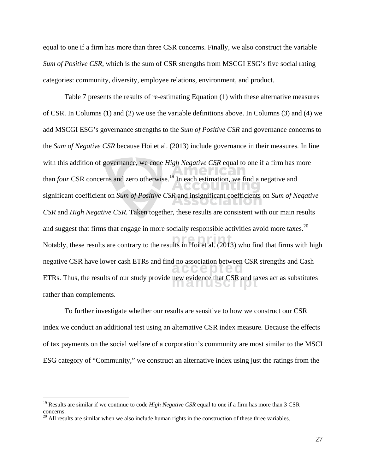equal to one if a firm has more than three CSR concerns. Finally, we also construct the variable *Sum of Positive CSR,* which is the sum of CSR strengths from MSCGI ESG's five social rating categories: community, diversity, employee relations, environment, and product.

Notably, these results are contrary to the results in Hoi et al. (2013) who find that firms with high  $\epsilon$  CCC DUEC ETRs. Thus, the results of our study provide new evidence that CSR and taxes act as substitutes Table 7 presents the results of re-estimating Equation (1) with these alternative measures of CSR. In Columns (1) and (2) we use the variable definitions above. In Columns (3) and (4) we add MSCGI ESG's governance strengths to the *Sum of Positive CSR* and governance concerns to the *Sum of Negative CSR* because Hoi et al. (2013) include governance in their measures*.* In line with this addition of governance, we code *High Negative CSR* equal to one if a firm has more than *four* CSR concerns and zero otherwise.<sup>19</sup> In each estimation, we find a negative and significant coefficient on *Sum of Positive CSR* and insignificant coefficients on *Sum of Negative CSR* and *High Negative CSR*. Taken together, these results are consistent with our main results and suggest that firms that engage in more socially responsible activities avoid more taxes.<sup>20</sup> negative CSR have lower cash ETRs and find no association between CSR strengths and Cash rather than complements.

To further investigate whether our results are sensitive to how we construct our CSR index we conduct an additional test using an alternative CSR index measure. Because the effects of tax payments on the social welfare of a corporation's community are most similar to the MSCI ESG category of "Community," we construct an alternative index using just the ratings from the

<u>.</u>

<sup>&</sup>lt;sup>19</sup> Results are similar if we continue to code *High Negative CSR* equal to one if a firm has more than 3 CSR concerns.

 $20$  All results are similar when we also include human rights in the construction of these three variables.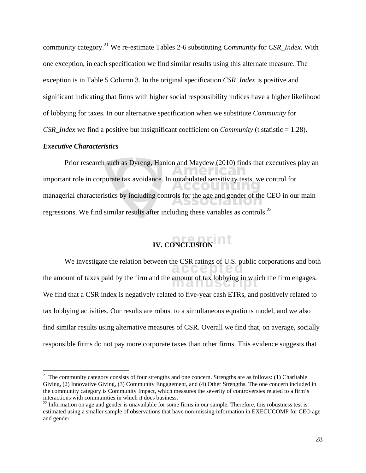community category.21 We re-estimate Tables 2-6 substituting *Community* for *CSR\_Index*. With one exception, in each specification we find similar results using this alternate measure. The exception is in Table 5 Column 3. In the original specification *CSR\_Index* is positive and significant indicating that firms with higher social responsibility indices have a higher likelihood of lobbying for taxes. In our alternative specification when we substitute *Community* for *CSR\_Index* we find a positive but insignificant coefficient on *Community* (t statistic = 1.28).

#### *Executive Characteristics*

 $\overline{a}$ 

Prior research such as Dyreng, Hanlon and Maydew (2010) finds that executives play an important role in corporate tax avoidance. In untabulated sensitivity tests, we control for managerial characteristics by including controls for the age and gender of the CEO in our main regressions. We find similar results after including these variables as controls.<sup>22</sup>

# **IV. CONCLUSION**

We investigate the relation between the CSR ratings of U.S. public corporations and both  $\bigcirc$ the amount of taxes paid by the firm and the amount of tax lobbying in which the firm engages. We find that a CSR index is negatively related to five-year cash ETRs, and positively related to tax lobbying activities. Our results are robust to a simultaneous equations model, and we also find similar results using alternative measures of CSR. Overall we find that, on average, socially responsible firms do not pay more corporate taxes than other firms. This evidence suggests that

 $21$  The community category consists of four strengths and one concern. Strengths are as follows: (1) Charitable Giving, (2) Innovative Giving, (3) Community Engagement, and (4) Other Strengths. The one concern included in the community category is Community Impact, which measures the severity of controversies related to a firm's interactions with communities in which it does business.

 $22$  Information on age and gender is unavailable for some firms in our sample. Therefore, this robustness test is estimated using a smaller sample of observations that have non-missing information in EXECUCOMP for CEO age and gender.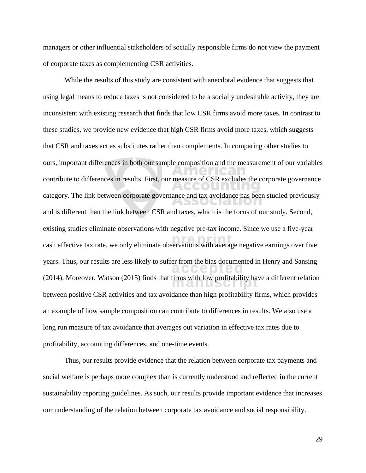managers or other influential stakeholders of socially responsible firms do not view the payment of corporate taxes as complementing CSR activities.

While the results of this study are consistent with anecdotal evidence that suggests that using legal means to reduce taxes is not considered to be a socially undesirable activity, they are inconsistent with existing research that finds that low CSR firms avoid more taxes. In contrast to these studies, we provide new evidence that high CSR firms avoid more taxes, which suggests that CSR and taxes act as substitutes rather than complements. In comparing other studies to ours, important differences in both our sample composition and the measurement of our variables contribute to differences in results. First, our measure of CSR excludes the corporate governance category. The link between corporate governance and tax avoidance has been studied previously <u>ula</u> and is different than the link between CSR and taxes, which is the focus of our study. Second, existing studies eliminate observations with negative pre-tax income. Since we use a five-year cash effective tax rate, we only eliminate observations with average negative earnings over five years. Thus, our results are less likely to suffer from the bias documented in Henry and Sansing<br>  $\alpha$ (2014). Moreover, Watson (2015) finds that firms with low profitability have a different relation between positive CSR activities and tax avoidance than high profitability firms, which provides an example of how sample composition can contribute to differences in results. We also use a long run measure of tax avoidance that averages out variation in effective tax rates due to profitability, accounting differences, and one-time events.

Thus, our results provide evidence that the relation between corporate tax payments and social welfare is perhaps more complex than is currently understood and reflected in the current sustainability reporting guidelines. As such, our results provide important evidence that increases our understanding of the relation between corporate tax avoidance and social responsibility.

29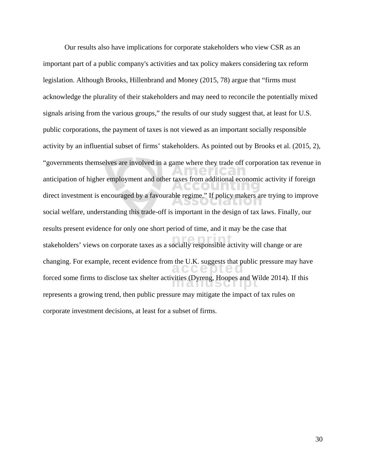Our results also have implications for corporate stakeholders who view CSR as an important part of a public company's activities and tax policy makers considering tax reform legislation. Although Brooks, Hillenbrand and Money (2015, 78) argue that "firms must acknowledge the plurality of their stakeholders and may need to reconcile the potentially mixed signals arising from the various groups," the results of our study suggest that, at least for U.S. public corporations, the payment of taxes is not viewed as an important socially responsible activity by an influential subset of firms' stakeholders. As pointed out by Brooks et al. (2015, 2), "governments themselves are involved in a game where they trade off corporation tax revenue in anticipation of higher employment and other taxes from additional economic activity if foreign direct investment is encouraged by a favourable regime." If policy makers are trying to improve **1. 1. 1. 1. 1. 1.** social welfare, understanding this trade-off is important in the design of tax laws. Finally, our results present evidence for only one short period of time, and it may be the case that stakeholders' views on corporate taxes as a socially responsible activity will change or are changing. For example, recent evidence from the U.K. suggests that public pressure may have forced some firms to disclose tax shelter activities (Dyreng, Hoopes and Wilde 2014). If this force represents a growing trend, then public pressure may mitigate the impact of tax rules on corporate investment decisions, at least for a subset of firms.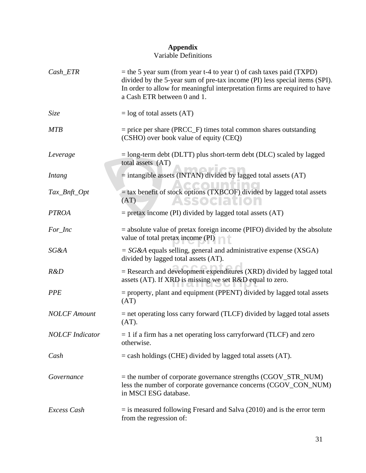#### **Appendix**

#### Variable Definitions

| Cash_ETR               | $=$ the 5 year sum (from year t-4 to year t) of cash taxes paid (TXPD)<br>divided by the 5-year sum of pre-tax income (PI) less special items (SPI).<br>In order to allow for meaningful interpretation firms are required to have<br>a Cash ETR between 0 and 1. |
|------------------------|-------------------------------------------------------------------------------------------------------------------------------------------------------------------------------------------------------------------------------------------------------------------|
| Size                   | $=$ log of total assets (AT)                                                                                                                                                                                                                                      |
| <b>MTB</b>             | $=$ price per share (PRCC_F) times total common shares outstanding<br>(CSHO) over book value of equity (CEQ)                                                                                                                                                      |
| Leverage               | $=$ long-term debt (DLTT) plus short-term debt (DLC) scaled by lagged<br>total assets (AT)                                                                                                                                                                        |
| <i>Intang</i>          | = intangible assets (INTAN) divided by lagged total assets (AT)                                                                                                                                                                                                   |
| Tax_Bnft_Opt           | = tax benefit of stock options (TXBCOF) divided by lagged total assets<br>(AT)<br>Association                                                                                                                                                                     |
| <b>PTROA</b>           | $=$ pretax income (PI) divided by lagged total assets (AT)                                                                                                                                                                                                        |
| For_Inc                | $=$ absolute value of pretax foreign income (PIFO) divided by the absolute<br>value of total pretax income (PI)                                                                                                                                                   |
| SG&A                   | $= S G \& A$ equals selling, general and administrative expense (XSGA)<br>divided by lagged total assets (AT).                                                                                                                                                    |
| R&D                    | = Research and development expenditures (XRD) divided by lagged total<br>assets (AT). If XRD is missing we set R&D equal to zero.                                                                                                                                 |
| <b>PPE</b>             | $=$ property, plant and equipment (PPENT) divided by lagged total assets<br>(AT)                                                                                                                                                                                  |
| <b>NOLCF</b> Amount    | = net operating loss carry forward (TLCF) divided by lagged total assets<br>(AT).                                                                                                                                                                                 |
| <b>NOLCF</b> Indicator | $= 1$ if a firm has a net operating loss carryforward (TLCF) and zero<br>otherwise.                                                                                                                                                                               |
| Cash                   | $=$ cash holdings (CHE) divided by lagged total assets (AT).                                                                                                                                                                                                      |
| Governance             | $=$ the number of corporate governance strengths (CGOV_STR_NUM)<br>less the number of corporate governance concerns (CGOV_CON_NUM)<br>in MSCI ESG database.                                                                                                       |
| Excess Cash            | $=$ is measured following Fresard and Salva (2010) and is the error term<br>from the regression of:                                                                                                                                                               |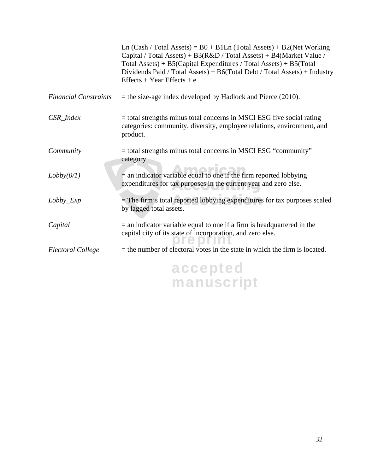|                              | Ln $(Cash / Total Assets) = B0 + B1Ln (Total Assets) + B2(Net Working)$<br>Capital / Total Assets) + $B3(R&D / Total Assets) + B4(Marker Value /$<br>Total Assets) + $B5(Capital\ Expenditures / Total\ Assets) + B5(Total$<br>Dividends Paid / Total Assets) + B6(Total Debt / Total Assets) + Industry<br>$Effects + Year Effects + e$ |
|------------------------------|------------------------------------------------------------------------------------------------------------------------------------------------------------------------------------------------------------------------------------------------------------------------------------------------------------------------------------------|
| <b>Financial Constraints</b> | $=$ the size-age index developed by Hadlock and Pierce (2010).                                                                                                                                                                                                                                                                           |
| CSR_Index                    | $=$ total strengths minus total concerns in MSCI ESG five social rating<br>categories: community, diversity, employee relations, environment, and<br>product.                                                                                                                                                                            |
| Community                    | = total strengths minus total concerns in MSCI ESG "community"<br>category                                                                                                                                                                                                                                                               |
| Lobby(0/1)                   | $=$ an indicator variable equal to one if the firm reported lobbying<br>expenditures for tax purposes in the current year and zero else.                                                                                                                                                                                                 |
| $Lobby$ $Exp$                | $=$ The firm's total reported lobbying expenditures for tax purposes scaled<br>by lagged total assets.                                                                                                                                                                                                                                   |
| Capital                      | $=$ an indicator variable equal to one if a firm is headquartered in the<br>capital city of its state of incorporation, and zero else.                                                                                                                                                                                                   |
| Electoral College            | $=$ the number of electoral votes in the state in which the firm is located.                                                                                                                                                                                                                                                             |
|                              | accepted<br>manuscript                                                                                                                                                                                                                                                                                                                   |
|                              |                                                                                                                                                                                                                                                                                                                                          |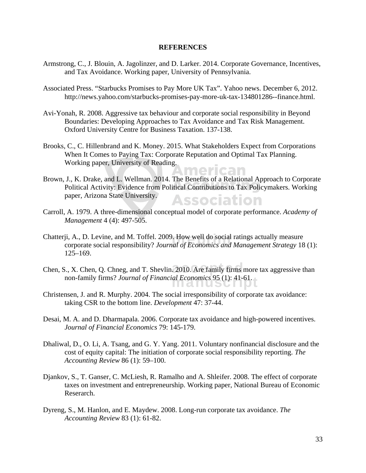#### **REFERENCES**

- Armstrong, C., J. Blouin, A. Jagolinzer, and D. Larker. 2014. Corporate Governance, Incentives, and Tax Avoidance. Working paper, University of Pennsylvania.
- Associated Press. "Starbucks Promises to Pay More UK Tax". Yahoo news. December 6, 2012. http://news.yahoo.com/starbucks-promises-pay-more-uk-tax-134801286--finance.html.
- Avi-Yonah, R. 2008. Aggressive tax behaviour and corporate social responsibility in Beyond Boundaries: Developing Approaches to Tax Avoidance and Tax Risk Management. Oxford University Centre for Business Taxation. 137-138.
- Brooks, C., C. Hillenbrand and K. Money. 2015. What Stakeholders Expect from Corporations When It Comes to Paying Tax: Corporate Reputation and Optimal Tax Planning. Working paper, University of Reading.
- Brown, J., K. Drake, and L. Wellman. 2014. The Benefits of a Relational Approach to Corporate Political Activity: Evidence from Political Contributions to Tax Policymakers. Working paper, Arizona State University. **Association**
- Carroll, A. 1979. A three-dimensional conceptual model of corporate performance. *Academy of Management* 4 (4): 497-505.
- Chatterji, A., D. Levine, and M. Toffel. 2009. How well do social ratings actually measure<br>corporate social responsibility? *Journal of Economics and Management Strategy* 18 corporate social responsibility? *Journal of Economics and Management Strategy* 18 (1): 125–169.
- Chen, S., X. Chen, Q. Chneg, and T. Shevlin. 2010. Are family firms more tax aggressive than non-family firms? *Journal of Financial Economics* 95 (1): 41-61.
- Christensen, J. and R. Murphy. 2004. The social irresponsibility of corporate tax avoidance: taking CSR to the bottom line. *Development* 47: 37-44.
- Desai, M. A. and D. Dharmapala. 2006. Corporate tax avoidance and high-powered incentives. *Journal of Financial Economics* 79: 145-179.
- Dhaliwal, D., O. Li, A. Tsang, and G. Y. Yang. 2011. Voluntary nonfinancial disclosure and the cost of equity capital: The initiation of corporate social responsibility reporting. *The Accounting Review* 86 (1): 59–100.
- Djankov, S., T. Ganser, C. McLiesh, R. Ramalho and A. Shleifer. 2008. The effect of corporate taxes on investment and entrepreneurship. Working paper, National Bureau of Economic Reserarch.
- Dyreng, S., M. Hanlon, and E. Maydew. 2008. Long-run corporate tax avoidance. *The Accounting Review* 83 (1): 61-82.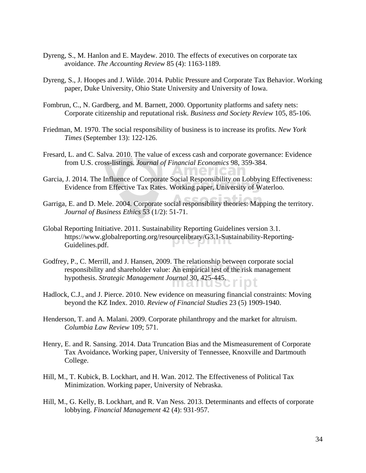- Dyreng, S., M. Hanlon and E. Maydew. 2010. The effects of executives on corporate tax avoidance. *The Accounting Review* 85 (4): 1163-1189.
- Dyreng, S., J. Hoopes and J. Wilde. 2014. Public Pressure and Corporate Tax Behavior. Working paper, Duke University, Ohio State University and University of Iowa.
- Fombrun, C., N. Gardberg, and M. Barnett, 2000. Opportunity platforms and safety nets: Corporate citizenship and reputational risk. *Business and Society Review* 105, 85-106.
- Friedman, M. 1970. The social responsibility of business is to increase its profits. *New York Times* (September 13): 122-126.
- Fresard, L. and C. Salva. 2010. The value of excess cash and corporate governance: Evidence from U.S. cross-listings. *Journal of Financial Economics* 98, 359-384.
- Garcia, J. 2014. The Influence of Corporate Social Responsibility on Lobbying Effectiveness: Evidence from Effective Tax Rates. Working paper, University of Waterloo.
- Garriga, E. and D. Mele. 2004. Corporate social responsibility theories: Mapping the territory. *Journal of Business Ethics* 53 (1/2): 51-71.
- https://www.globalreporting.org/resourcelibrary/G3.1-Sustainability-Reporting-<br>Guidelines.pdf. Global Reporting Initiative. 2011. Sustainability Reporting Guidelines version 3.1. Guidelines.pdf.
- extending the responsibility and shareholder value: An empirical test of the risk management manusci Godfrey, P., C. Merrill, and J. Hansen, 2009. The relationship between corporate social hypothesis. *Strategic Management Journal* 30, 425-445.
- Hadlock, C.J., and J. Pierce. 2010. New evidence on measuring financial constraints: Moving beyond the KZ Index. 2010. *Review of Financial Studies* 23 (5) 1909-1940.
- Henderson, T. and A. Malani. 2009. Corporate philanthropy and the market for altruism. *Columbia Law Review* 109; 571.
- Henry, E. and R. Sansing. 2014. Data Truncation Bias and the Mismeasurement of Corporate Tax Avoidance**.** Working paper, University of Tennessee, Knoxville and Dartmouth College.
- Hill, M., T. Kubick, B. Lockhart, and H. Wan. 2012. The Effectiveness of Political Tax Minimization. Working paper, University of Nebraska.
- Hill, M., G. Kelly, B. Lockhart, and R. Van Ness. 2013. Determinants and effects of corporate lobbying. *Financial Management* 42 (4): 931-957.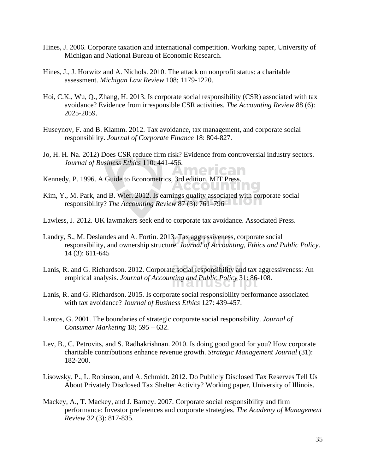- Hines, J. 2006. Corporate taxation and international competition. Working paper, University of Michigan and National Bureau of Economic Research.
- Hines, J., J. Horwitz and A. Nichols. 2010. The attack on nonprofit status: a charitable assessment. *Michigan Law Review* 108; 1179-1220.
- Hoi, C.K., Wu, Q., Zhang, H. 2013. Is corporate social responsibility (CSR) associated with tax avoidance? Evidence from irresponsible CSR activities. *The Accounting Review* 88 (6): 2025-2059.
- Huseynov, F. and B. Klamm. 2012. Tax avoidance, tax management, and corporate social responsibility. *Journal of Corporate Finance* 18: 804-827.
- Jo, H. H. Na. 2012) Does CSR reduce firm risk? Evidence from controversial industry sectors. *Journal of Business Ethics* 110: 441-456.

American

**TACOLITIE** 

- Kennedy, P. 1996. A Guide to Econometrics, 3rd edition. MIT Press.
- Kim, Y., M. Park, and B. Wier. 2012. Is earnings quality associated with corporate social responsibility? *The Accounting Review* 87 (3): 761–796
- Lawless, J. 2012. UK lawmakers seek end to corporate tax avoidance. Associated Press.
- Landry, S., M. Deslandes and A. Fortin. 2013. Tax aggressiveness, corporate social responsibility, and ownership structure. *Journal of Accounting. Ethics and P* responsibility, and ownership structure. *Journal of Accounting, Ethics and Public Policy*. 14 (3): 611-645
- Lanis, R. and G. Richardson. 2012. Corporate social responsibility and tax aggressiveness: An empirical analysis. *Journal of Accounting and Public Policy* 31: 86-108.
- Lanis, R. and G. Richardson. 2015. Is corporate social responsibility performance associated with tax avoidance? *Journal of Business Ethics* 127: 439-457.
- Lantos, G. 2001. The boundaries of strategic corporate social responsibility. *Journal of Consumer Marketing* 18; 595 – 632.
- Lev, B., C. Petrovits, and S. Radhakrishnan. 2010. Is doing good good for you? How corporate charitable contributions enhance revenue growth. *Strategic Management Journal* (31): 182-200.
- Lisowsky, P., L. Robinson, and A. Schmidt. 2012. Do Publicly Disclosed Tax Reserves Tell Us About Privately Disclosed Tax Shelter Activity? Working paper, University of Illinois.
- Mackey, A., T. Mackey, and J. Barney. 2007. Corporate social responsibility and firm performance: Investor preferences and corporate strategies. *The Academy of Management Review* 32 (3): 817-835.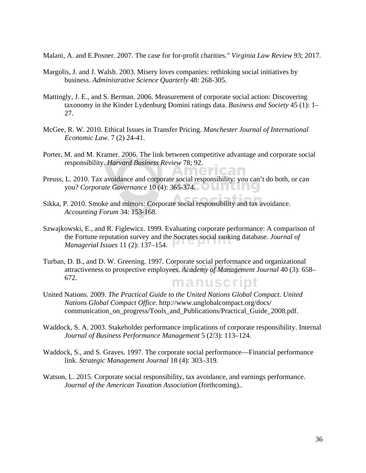Malani, A. and E.Posner. 2007. The case for for-profit charities." *Virginia Law Review* 93; 2017.

- Margolis, J. and J. Walsh. 2003. Misery loves companies: rethinking social initiatives by business. *Administrative Science Quarterly* 48: 268-305.
- Mattingly, J. E., and S. Berman. 2006. Measurement of corporate social action: Discovering taxonomy in the Kinder Lydenburg Domini ratings data. *Business and Society* 45 (1): 1– 27.
- McGee, R. W. 2010. Ethical Issues in Transfer Pricing. *Manchester Journal of International Economic Law*. 7 (2) 24-41.
- Porter, M. and M. Kramer. 2006. The link between competitive advantage and corporate social responsibility. *Harvard Business Review* 78; 92.

American

- Preuss, L. 2010. Tax avoidance and corporate social responsibility: you can't do both, or can you? *Corporate Governance* 10 (4): 365-374.
- Sikka, P. 2010. Smoke and mirrors: Corporate social responsibility and tax avoidance. *Accounting Forum* 34: 153-168.
- the Fortune reputation survey and the Socrates social ranking database. *Journal of Managerial Issues* 11 (2): 137–154. Szwajkowski, E., and R. Figlewicz. 1999. Evaluating corporate performance: A comparison of *Managerial Issues* 11 (2): 137–154.
- b. B., and D. W. Oreening. 1997. Corporate social performance and organizational<br>attractiveness to prospective employees. *Academy of Management Journal* 40 (3): 658– manuscript Turban, D. B., and D. W. Greening. 1997. Corporate social performance and organizational 672.
- United Nations. 2009. *The Practical Guide to the United Nations Global Compact. United Nations Global Compact Office*. http://www.unglobalcompact.org/docs/ communication\_on\_progress/Tools\_and\_Publications/Practical\_Guide\_2008.pdf.
- Waddock, S. A. 2003. Stakeholder performance implications of corporate responsibility. Internal *Journal of Business Performance Management* 5 (2/3): 113–124.
- Waddock, S., and S. Graves. 1997. The corporate social performance—Financial performance link. *Strategic Management Journal* 18 (4): 303–319.
- Watson, L. 2015. Corporate social responsibility, tax avoidance, and earnings performance. *Journal of the American Taxation Association* (forthcoming)..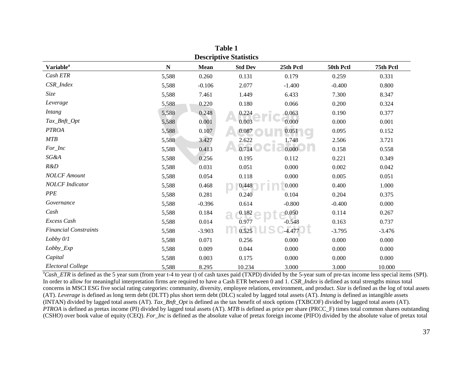| <b>Descriptive Statistics</b> |             |             |                |           |           |           |  |
|-------------------------------|-------------|-------------|----------------|-----------|-----------|-----------|--|
| Variable <sup>a</sup>         | $\mathbf N$ | <b>Mean</b> | <b>Std Dev</b> | 25th Pctl | 50th Pctl | 75th Pctl |  |
| Cash ETR                      | 5,588       | 0.260       | 0.131          | 0.179     | 0.259     | 0.331     |  |
| $CSR\_Index$                  | 5,588       | $-0.106$    | 2.077          | $-1.400$  | $-0.400$  | 0.800     |  |
| Size                          | 5,588       | 7.461       | 1.449          | 6.433     | 7.300     | 8.347     |  |
| Leverage                      | 5,588       | 0.220       | 0.180          | 0.066     | 0.200     | 0.324     |  |
| <b>Intang</b>                 | 5,588       | 0.248       | 0.224          | 0.063     | 0.190     | 0.377     |  |
| $\textit{Tax\_Bnft\_Opt}$     | 5,588       | 0.001       | 0.003          | 0.000     | 0.000     | 0.001     |  |
| <b>PTROA</b>                  | 5,588       | 0.107       | 0.087          | 0.051     | 0.095     | 0.152     |  |
| MTB                           | 5,588       | 3.427       | 2.622          | 1.748     | 2.506     | 3.721     |  |
| For_Inc                       | 5,588       | 0.413       | 0.714          | 0.000     | 0.158     | 0.558     |  |
| SG&A                          | 5,588       | 0.256       | 0.195          | 0.112     | 0.221     | 0.349     |  |
| R&D                           | 5,588       | 0.031       | 0.051          | 0.000     | 0.002     | 0.042     |  |
| <b>NOLCF</b> Amount           | 5,588       | 0.054       | 0.118          | 0.000     | 0.005     | 0.051     |  |
| <b>NOLCF</b> Indicator        | 5,588       | 0.468       | 0.448          | 0.000     | 0.400     | 1.000     |  |
| <b>PPE</b>                    | 5,588       | 0.281       | 0.240          | 0.104     | 0.204     | 0.375     |  |
| Governance                    | 5,588       | $-0.396$    | 0.614          | $-0.800$  | $-0.400$  | 0.000     |  |
| Cash                          | 5,588       | 0.184       | 0.182          | 0.050     | 0.114     | 0.267     |  |
| Excess Cash                   | 5,588       | 0.014       | 0.977          | $-0.548$  | 0.163     | 0.737     |  |
| <b>Financial Constraints</b>  | 5,588       | $-3.903$    | 0.525          | $-4.477$  | $-3.795$  | $-3.476$  |  |
| Lobby 0/1                     | 5,588       | 0.071       | 0.256          | 0.000     | 0.000     | 0.000     |  |
| Lobby_Exp                     | 5,588       | 0.009       | 0.044          | 0.000     | 0.000     | 0.000     |  |
| Capital                       | 5,588       | 0.003       | 0.175          | 0.000     | 0.000     | 0.000     |  |
| Electoral College             | 5,588       | 8.295       | 10.234         | 3.000     | 3.000     | 10.000    |  |

**Table 1** 

<sup>a</sup>Cash\_ETR is defined as the 5 year sum (from year t-4 to year t) of cash taxes paid (TXPD) divided by the 5-year sum of pre-tax income less special items (SPI). In order to allow for meaningful interpretation firms are required to have a Cash ETR between 0 and 1. *CSR\_Index* is defined as total strengths minus total concerns in MSCI ESG five social rating categories: community, diversity, employee relations, environment, and product. *Size* is defined as the log of total assets (AT). *Leverage* is defined as long term debt (DLTT) plus short term debt (DLC) scaled by lagged total assets (AT). *Intang* is defined as intangible assets (INTAN) divided by lagged total assets (AT). *Tax\_Bnft\_Opt* is defined as the tax benefit of stock options (TXBCOF) divided by lagged total assets (AT). *PTROA* is defined as pretax income (PI) divided by lagged total assets (AT). *MTB* is defined as price per share (PRCC\_F) times total common shares outstanding (CSHO) over book value of equity (CEQ). *For\_Inc* is defined as the absolute value of pretax foreign income (PIFO) divided by the absolute value of pretax total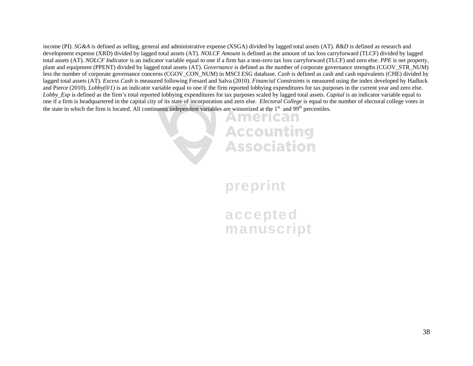income (PI). *SG&A* is defined as selling, general and administrative expense (XSGA) divided by lagged total assets (AT). *R&D* is defined as research and development expense (XRD) divided by lagged total assets (AT). *NOLCF Amount* is defined as the amount of tax loss carryforward (TLCF) divided by lagged total assets (AT). *NOLCF Indicator* is an indicator variable equal to one if a firm has a non-zero tax loss carryforward (TLCF) and zero else. *PPE* is net property, plant and equipment (PPENT) divided by lagged total assets (AT). *Governance* is defined as the number of corporate governance strengths (CGOV\_STR\_NUM) less the number of corporate governance concerns (CGOV\_CON\_NUM) in MSCI ESG database. *Cash* is defined as cash and cash equivalents (CHE) divided by lagged total assets (AT). *Excess Cash* is measured following Fresard and Salva (2010). *Financial Constraints* is measured using the index developed by Hadlock and Pierce (2010). *Lobby(0/1)* is an indicator variable equal to one if the firm reported lobbying expenditures for tax purposes in the current year and zero else. *Lobby\_Exp* is defined as the firm's total reported lobbying expenditures for tax purposes scaled by lagged total assets. *Capital* is an indicator variable equal to one if a firm is headquartered in the capital city of its state of incorporation and zero else. *Electoral College* is equal to the number of electoral college votes in the state in which the firm is located. All continuous independent variables are winsorized at the  $1<sup>st</sup>$  and  $99<sup>th</sup>$  percentiles.



preprint

accepted manuscript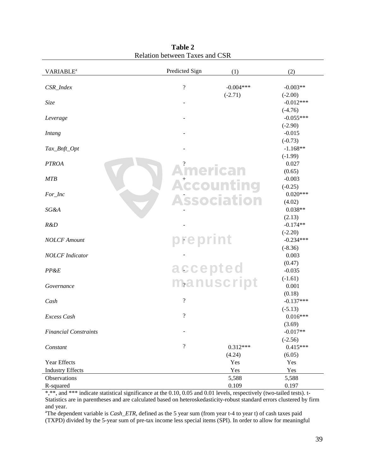| <b>VARIABLE<sup>a</sup></b>  | Predicted Sign               | (1)                | (2)                |
|------------------------------|------------------------------|--------------------|--------------------|
| CSR_Index                    | $\overline{\mathcal{L}}$     | $-0.004***$        | $-0.003**$         |
|                              |                              | $(-2.71)$          | $(-2.00)$          |
| Size                         |                              |                    | $-0.012***$        |
|                              |                              |                    | $(-4.76)$          |
| Leverage                     |                              |                    | $-0.055***$        |
|                              |                              |                    | $(-2.90)$          |
| <b>Intang</b>                |                              |                    | $-0.015$           |
|                              |                              |                    | $(-0.73)$          |
| Tax_Bnft_Opt                 |                              |                    | $-1.168**$         |
| <b>PTROA</b>                 |                              |                    | $(-1.99)$<br>0.027 |
|                              | <b>American</b>              |                    | (0.65)             |
| <b>MTB</b>                   |                              |                    | $-0.003$           |
|                              |                              | <b>Accounting</b>  | $(-0.25)$          |
| For_Inc                      |                              |                    | $0.020***$         |
|                              |                              | <b>Association</b> | (4.02)             |
| <b>SG&amp;A</b>              |                              |                    | $0.038**$          |
|                              |                              |                    | (2.13)             |
| R&D                          |                              |                    | $-0.174**$         |
|                              |                              |                    | $(-2.20)$          |
| <b>NOLCF</b> Amount          | preprint                     |                    | $-0.234***$        |
|                              |                              |                    | $(-8.36)$          |
| <b>NOLCF</b> Indicator       |                              |                    | 0.003              |
|                              | accepted                     |                    | (0.47)             |
| PP&E                         |                              |                    | $-0.035$           |
| Governance                   |                              | manuscript         | $(-1.61)$<br>0.001 |
|                              |                              |                    | (0.18)             |
| Cash                         | $\boldsymbol{?}$             |                    | $-0.137***$        |
|                              |                              |                    | $(-5.13)$          |
| Excess Cash                  | $\overline{\mathcal{L}}$     |                    | $0.016***$         |
|                              |                              |                    | (3.69)             |
| <b>Financial Constraints</b> | $\qquad \qquad \blacksquare$ |                    | $-0.017**$         |
|                              |                              |                    | $(-2.56)$          |
| Constant                     | $\boldsymbol{?}$             | $0.312***$         | $0.415***$         |
|                              |                              | (4.24)             | (6.05)             |
| Year Effects                 |                              | Yes                | Yes                |
| <b>Industry Effects</b>      |                              | Yes                | Yes                |
| Observations                 |                              | 5,588              | 5,588              |
| R-squared                    |                              | 0.109              | 0.197              |

**Table 2**  Relation between Taxes and CSR

\*,\*\*, and \*\*\* indicate statistical significance at the 0.10, 0.05 and 0.01 levels, respectively (two-tailed tests). t-Statistics are in parentheses and are calculated based on heteroskedasticity-robust standard errors clustered by firm and year.

<sup>a</sup>The dependent variable is *Cash\_ETR*, defined as the 5 year sum (from year t-4 to year t) of cash taxes paid (TXPD) divided by the 5-year sum of pre-tax income less special items (SPI). In order to allow for meaningful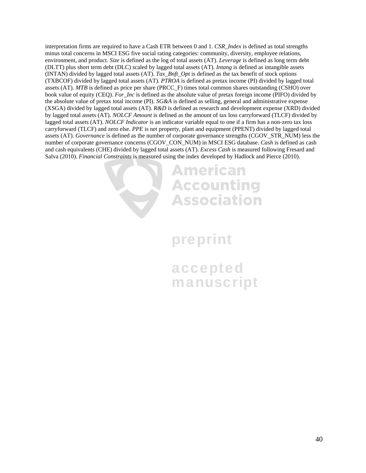interpretation firms are required to have a Cash ETR between 0 and 1. *CSR\_Index* is defined as total strengths minus total concerns in MSCI ESG five social rating categories: community, diversity, employee relations, environment, and product. *Size* is defined as the log of total assets (AT). *Leverage* is defined as long term debt (DLTT) plus short term debt (DLC) scaled by lagged total assets (AT). *Intang* is defined as intangible assets (INTAN) divided by lagged total assets (AT). *Tax\_Bnft\_Opt* is defined as the tax benefit of stock options (TXBCOF) divided by lagged total assets (AT). *PTROA* is defined as pretax income (PI) divided by lagged total assets (AT). *MTB* is defined as price per share (PRCC\_F) times total common shares outstanding (CSHO) over book value of equity (CEQ). *For\_Inc* is defined as the absolute value of pretax foreign income (PIFO) divided by the absolute value of pretax total income (PI). *SG&A* is defined as selling, general and administrative expense (XSGA) divided by lagged total assets (AT). *R&D* is defined as research and development expense (XRD) divided by lagged total assets (AT). *NOLCF Amount* is defined as the amount of tax loss carryforward (TLCF) divided by lagged total assets (AT). *NOLCF Indicator* is an indicator variable equal to one if a firm has a non-zero tax loss carryforward (TLCF) and zero else. *PPE* is net property, plant and equipment (PPENT) divided by lagged total assets (AT). *Governance* is defined as the number of corporate governance strengths (CGOV\_STR\_NUM) less the number of corporate governance concerns (CGOV\_CON\_NUM) in MSCI ESG database. *Cash* is defined as cash and cash equivalents (CHE) divided by lagged total assets (AT). *Excess Cash* is measured following Fresard and Salva (2010). *Financial Constraints* is measured using the index developed by Hadlock and Pierce (2010).

# **American Accounting Association**

# preprint

accepted manuscript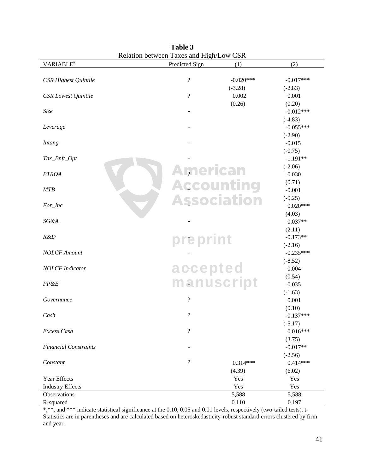|                              | <b>INCRETOR OCCWCCH TRACS ARE THEIR LOW CON</b> |                          |                    |             |
|------------------------------|-------------------------------------------------|--------------------------|--------------------|-------------|
| <b>VARIABLE<sup>a</sup></b>  |                                                 | Predicted Sign           | (1)                | (2)         |
| CSR Highest Quintile         |                                                 | $\overline{\mathcal{C}}$ | $-0.020***$        | $-0.017***$ |
|                              |                                                 |                          | $(-3.28)$          | $(-2.83)$   |
| <b>CSR</b> Lowest Quintile   |                                                 | $\ddot{?}$               | 0.002              | 0.001       |
|                              |                                                 |                          | (0.26)             | (0.20)      |
| Size                         |                                                 |                          |                    | $-0.012***$ |
|                              |                                                 |                          |                    | $(-4.83)$   |
| Leverage                     |                                                 |                          |                    | $-0.055***$ |
|                              |                                                 |                          |                    | $(-2.90)$   |
| <b>Intang</b>                |                                                 |                          |                    | $-0.015$    |
|                              |                                                 |                          |                    | $(-0.75)$   |
| Tax_Bnft_Opt                 |                                                 |                          |                    | $-1.191**$  |
|                              |                                                 |                          |                    | $(-2.06)$   |
| <b>PTROA</b>                 |                                                 | <b>American</b>          |                    | 0.030       |
|                              |                                                 |                          |                    | (0.71)      |
| MTB                          |                                                 |                          | <b>Accounting</b>  | $-0.001$    |
|                              |                                                 |                          | <b>Association</b> | $(-0.25)$   |
| For_Inc                      |                                                 |                          |                    | $0.020***$  |
|                              |                                                 |                          |                    | (4.03)      |
| SG&A                         |                                                 |                          |                    | $0.037**$   |
|                              |                                                 |                          |                    | (2.11)      |
| R&D                          |                                                 |                          |                    | $-0.173**$  |
|                              |                                                 | preprint                 |                    | $(-2.16)$   |
| <b>NOLCF</b> Amount          |                                                 |                          |                    | $-0.235***$ |
|                              |                                                 |                          |                    | $(-8.52)$   |
| <b>NOLCF</b> Indicator       |                                                 | accepted                 |                    | 0.004       |
|                              |                                                 |                          |                    | (0.54)      |
| PP&E                         |                                                 |                          | manuscript         | $-0.035$    |
|                              |                                                 |                          |                    | $(-1.63)$   |
| Governance                   |                                                 | $\overline{\mathcal{C}}$ |                    | 0.001       |
|                              |                                                 |                          |                    | (0.10)      |
| Cash                         |                                                 | $\ddot{?}$               |                    | $-0.137***$ |
|                              |                                                 |                          |                    | $(-5.17)$   |
| Excess Cash                  |                                                 | $\overline{\mathcal{L}}$ |                    | $0.016***$  |
|                              |                                                 |                          |                    | (3.75)      |
| <b>Financial Constraints</b> |                                                 |                          |                    | $-0.017**$  |
|                              |                                                 |                          |                    | $(-2.56)$   |
| Constant                     |                                                 | $\boldsymbol{?}$         | $0.314***$         | $0.414***$  |
|                              |                                                 |                          | (4.39)             | (6.02)      |
| Year Effects                 |                                                 |                          | Yes                | Yes         |
| <b>Industry Effects</b>      |                                                 |                          | Yes                | Yes         |
| Observations                 |                                                 |                          | 5,588              | 5,588       |
| R-squared                    |                                                 |                          | 0.110              | 0.197       |

**Table 3**  Relation between Taxes and High/Low CSR

\*,\*\*, and \*\*\* indicate statistical significance at the 0.10, 0.05 and 0.01 levels, respectively (two-tailed tests). t-Statistics are in parentheses and are calculated based on heteroskedasticity-robust standard errors clustered by firm and year.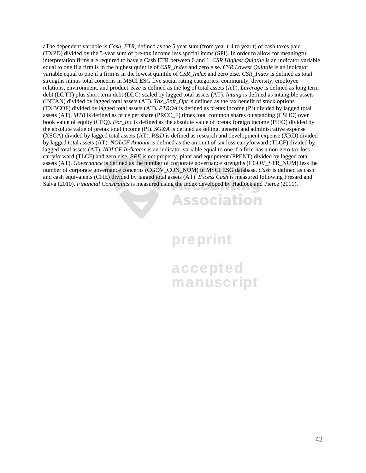aThe dependent variable is *Cash\_ETR*, defined as the 5 year sum (from year t-4 to year t) of cash taxes paid (TXPD) divided by the 5-year sum of pre-tax income less special items (SPI). In order to allow for meaningful interpretation firms are required to have a Cash ETR between 0 and 1. *CSR Highest Quintile* is an indicator variable equal to one if a firm is in the highest quintile of *CSR\_Index* and zero else. *CSR Lowest Quintile* is an indicator variable equal to one if a firm is in the lowest quintile of *CSR\_Index* and zero else. *CSR\_Index* is defined as total strengths minus total concerns in MSCI ESG five social rating categories: community, diversity, employee relations, environment, and product. *Size* is defined as the log of total assets (AT). *Leverage* is defined as long term debt (DLTT) plus short term debt (DLC) scaled by lagged total assets (AT). *Intang* is defined as intangible assets (INTAN) divided by lagged total assets (AT). *Tax\_Bnft\_Opt* is defined as the tax benefit of stock options (TXBCOF) divided by lagged total assets (AT). *PTROA* is defined as pretax income (PI) divided by lagged total assets (AT). *MTB* is defined as price per share (PRCC\_F) times total common shares outstanding (CSHO) over book value of equity (CEQ). *For\_Inc* is defined as the absolute value of pretax foreign income (PIFO) divided by the absolute value of pretax total income (PI). *SG&A* is defined as selling, general and administrative expense (XSGA) divided by lagged total assets (AT). *R&D* is defined as research and development expense (XRD) divided by lagged total assets (AT). *NOLCF Amount* is defined as the amount of tax loss carryforward (TLCF) divided by lagged total assets (AT). *NOLCF Indicator* is an indicator variable equal to one if a firm has a non-zero tax loss carryforward (TLCF) and zero else. *PPE* is net property, plant and equipment (PPENT) divided by lagged total assets (AT). *Governance* is defined as the number of corporate governance strengths (CGOV\_STR\_NUM) less the number of corporate governance concerns (CGOV\_CON\_NUM) in MSCI ESG database. *Cash* is defined as cash and cash equivalents (CHE) divided by lagged total assets (AT). *Excess Cash* is measured following Fresard and Salva (2010). *Financial Constraints* is measured using the index developed by Hadlock and Pierce (2010).

### **Association**

# preprint

accepted manuscript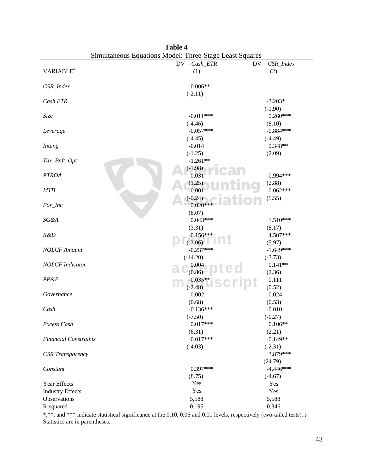| ommunicous oq                | aanons moden. Tinee biage Least by | $\mathbf{u}\mathbf{u}\mathbf{v}$ |
|------------------------------|------------------------------------|----------------------------------|
|                              | $DV = Cash\_ETR$                   | $DV = CSR\_Index$                |
| <b>VARIABLE<sup>a</sup></b>  | (1)                                | (2)                              |
|                              |                                    |                                  |
| CSR_Index                    | $-0.006**$                         |                                  |
|                              | $(-2.11)$                          |                                  |
| Cash ETR                     |                                    | $-3.203*$                        |
|                              |                                    | $(-1.90)$                        |
| Size                         | $-0.011***$                        | $0.260***$                       |
|                              | $(-4.46)$                          | (8.10)                           |
| Leverage                     | $-0.057***$                        | $-0.884***$                      |
|                              | $(-4.45)$                          | $(-4.49)$                        |
| <b>Intang</b>                | $-0.014$                           | $0.348**$                        |
|                              | $(-1.25)$                          | (2.09)                           |
| Tax_Bnft_Opt                 | $-1.261**$                         |                                  |
|                              | $(-1.98)$                          |                                  |
| <b>PTROA</b>                 | 0.031                              | $0.994***$                       |
|                              | (1.25)                             | (2.88)                           |
| <b>MTB</b>                   | $-0.001$                           | $0.062***$                       |
|                              | $(-0.24)$                          | (5.55)                           |
| For_Inc                      | $0.020***$                         |                                  |
|                              | (8.07)                             |                                  |
| SG&A                         | $0.043***$                         | $1.510***$                       |
|                              | (3.31)                             | (8.17)                           |
| R&D                          | $-0.156***$                        | 4.507***                         |
|                              | $(-3.06)$                          |                                  |
| <b>NOLCF</b> Amount          | $-0.237***$                        | (5.97)                           |
|                              |                                    | $-1.649***$                      |
|                              | $(-14.20)$                         | $(-3.73)$                        |
| <b>NOLCF</b> Indicator       | 0.004                              | $0.141**$                        |
|                              | (0.86)                             | (2.36)                           |
| PP&E                         | $-0.035**$                         | 0.111                            |
|                              | $(-2.48)$                          | (0.52)                           |
| Governance                   | 0.002                              | 0.024                            |
|                              | (0.68)                             | (0.53)                           |
| Cash                         | $-0.136***$                        | $-0.010$                         |
|                              | $(-7.50)$                          | $(-0.27)$                        |
| Excess Cash                  | $0.017***$                         | $0.106**$                        |
|                              | (6.31)                             | (2.21)                           |
| <b>Financial Constraints</b> | $-0.017***$                        | $-0.149**$                       |
|                              | $(-4.03)$                          | $(-2.31)$                        |
| <b>CSR</b> Transparency      |                                    | 3.879***                         |
|                              |                                    | (24.79)                          |
| Constant                     | $0.397***$                         | $-4.446***$                      |
|                              | (8.75)                             | $(-4.67)$                        |
| Year Effects                 | Yes                                | Yes                              |
| <b>Industry Effects</b>      | Yes                                | Yes                              |
| Observations                 | 5,588                              | 5,588                            |
| R-squared                    | 0.195                              | 0.346                            |
|                              |                                    |                                  |

**Table 4**  Simultaneous Equations Model: Three-Stage Least Squares

\*,\*\*, and \*\*\* indicate statistical significance at the 0.10, 0.05 and 0.01 levels, respectively (two-tailed tests). t-Statistics are in parentheses.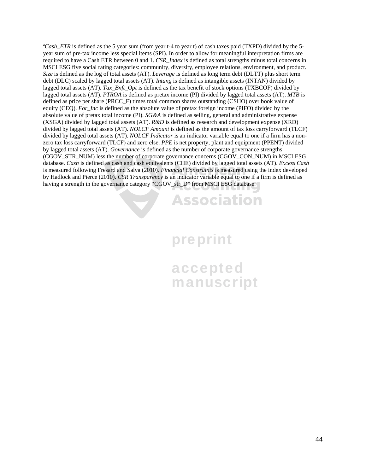<sup>a</sup>Cash\_ETR is defined as the 5 year sum (from year t-4 to year t) of cash taxes paid (TXPD) divided by the 5year sum of pre-tax income less special items (SPI). In order to allow for meaningful interpretation firms are required to have a Cash ETR between 0 and 1. *CSR\_Index* is defined as total strengths minus total concerns in MSCI ESG five social rating categories: community, diversity, employee relations, environment, and product. *Size* is defined as the log of total assets (AT). *Leverage* is defined as long term debt (DLTT) plus short term debt (DLC) scaled by lagged total assets (AT). *Intang* is defined as intangible assets (INTAN) divided by lagged total assets (AT). *Tax\_Bnft\_Opt* is defined as the tax benefit of stock options (TXBCOF) divided by lagged total assets (AT). *PTROA* is defined as pretax income (PI) divided by lagged total assets (AT). *MTB* is defined as price per share (PRCC\_F) times total common shares outstanding (CSHO) over book value of equity (CEQ). *For\_Inc* is defined as the absolute value of pretax foreign income (PIFO) divided by the absolute value of pretax total income (PI). *SG&A* is defined as selling, general and administrative expense (XSGA) divided by lagged total assets (AT). *R&D* is defined as research and development expense (XRD) divided by lagged total assets (AT). *NOLCF Amount* is defined as the amount of tax loss carryforward (TLCF) divided by lagged total assets (AT). *NOLCF Indicator* is an indicator variable equal to one if a firm has a nonzero tax loss carryforward (TLCF) and zero else. *PPE* is net property, plant and equipment (PPENT) divided by lagged total assets (AT). *Governance* is defined as the number of corporate governance strengths (CGOV\_STR\_NUM) less the number of corporate governance concerns (CGOV\_CON\_NUM) in MSCI ESG database. *Cash* is defined as cash and cash equivalents (CHE) divided by lagged total assets (AT). *Excess Cash*  is measured following Fresard and Salva (2010). *Financial Constraints* is measured using the index developed by Hadlock and Pierce (2010). *CSR Transparency* is an indicator variable equal to one if a firm is defined as having a strength in the governance category "CGOV\_str\_D" from MSCI ESG database.



accepted manuscript

**Association**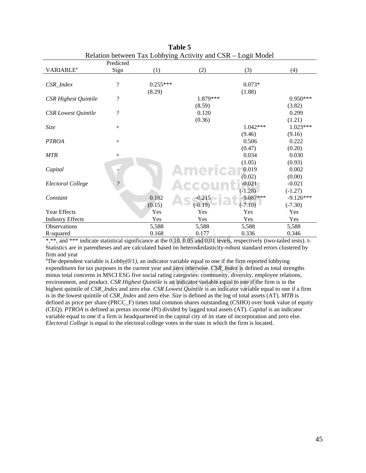|                             |                            |            | Kelation between Tax Lobbying Activity and CSK – Logit Model |             |             |
|-----------------------------|----------------------------|------------|--------------------------------------------------------------|-------------|-------------|
|                             | Predicted                  |            |                                                              |             |             |
| <b>VARIABLE<sup>a</sup></b> | Sign                       | (1)        | (2)                                                          | (3)         | (4)         |
|                             |                            |            |                                                              |             |             |
| CSR_Index                   | $\overline{\cdot}$         | $0.255***$ |                                                              | $0.073*$    |             |
|                             |                            | (8.29)     |                                                              | (1.88)      |             |
| <b>CSR Highest Quintile</b> | $\overline{\cdot}$         |            | 1.879***                                                     |             | $0.950***$  |
|                             |                            |            | (8.59)                                                       |             | (3.82)      |
| <b>CSR</b> Lowest Quintile  | $\overline{\mathcal{L}}$   |            | 0.120                                                        |             | 0.299       |
|                             |                            |            | (0.36)                                                       |             | (1.21)      |
| Size                        |                            |            |                                                              | 1.042***    | $1.023***$  |
|                             |                            |            |                                                              | (9.46)      | (9.16)      |
| <b>PTROA</b>                |                            |            |                                                              | 0.506       | 0.222       |
|                             |                            |            |                                                              | (0.47)      | (0.20)      |
| <b>MTB</b>                  | $^{+}$                     |            |                                                              | 0.034       | 0.030       |
|                             |                            |            |                                                              | (1.05)      | (0.93)      |
| Capital                     |                            |            |                                                              | 0.019       | 0.002       |
|                             |                            |            |                                                              | (0.02)      | (0.00)      |
| Electoral College           | $\boldsymbol{\mathcal{C}}$ |            |                                                              | $-0.021$    | $-0.021$    |
|                             |                            |            |                                                              | $(-1.28)$   | $(-1.27)$   |
| Constant                    |                            | 0.182      | $-0.215$                                                     | $-9.087***$ | $-9.126***$ |
|                             |                            | (0.15)     | $(-0.19)$                                                    | $(-7.10)$   | $(-7.30)$   |
| Year Effects                |                            | Yes        | Yes                                                          | Yes         | Yes         |
| <b>Industry Effects</b>     |                            | Yes        | Yes                                                          | Yes         | Yes         |
| <b>Observations</b>         |                            | 5,588      | 5,588                                                        | 5,588       | 5,588       |
| R-squared                   |                            | 0.168      | 0.177                                                        | 0.336       | 0.346       |

**Table 5**  Relation between Tax Lobbying Activity and CSR – Logit Model

 $\frac{0.168}{2}$   $\frac{0.177}{2}$   $\frac{0.336}{2}$   $\frac{0.346}{2}$ <br>\*,\*\*, and \*\*\* indicate statistical significance at the 0.10, 0.05 and 0.01 levels, respectively (two-tailed tests). t-Statistics are in parentheses and are calculated based on heteroskedasticity-robust standard errors clustered by firm and year

The dependent variable is  $\Sigma \frac{\partial \frac{\partial \nu}{\partial T}}{\partial t}$ , an indicator variable equal to one if the fifth reported loopying expenditures for tax purposes in the current year and zero otherwise. *CSR\_Index* is defined as total st manuscriptum of the social rating categories: commany, are engly, enproyee relation<br>environment, and product. *CSR Highest Quintile* is an indicator variable equal to one if the firm is in the<br>highest quintile of *CSR Inde* <sup>a</sup>The dependent variable is  $Lobby(0/1)$ , an indicator variable equal to one if the firm reported lobbying minus total concerns in MSCI ESG five social rating categories: community, diversity, employee relations, highest quintile of *CSR\_Index* and zero else. *CSR Lowest Quintile* is an indicator variable equal to one if a firm is in the lowest quintile of *CSR\_Index* and zero else. *Size* is defined as the log of total assets (AT). *MTB* is defined as price per share (PRCC\_F) times total common shares outstanding (CSHO) over book value of equity (CEQ). *PTROA* is defined as pretax income (PI) divided by lagged total assets (AT). *Capital* is an indicator variable equal to one if a firm is headquartered in the capital city of its state of incorporation and zero else. *Electoral College* is equal to the electoral college votes in the state in which the firm is located.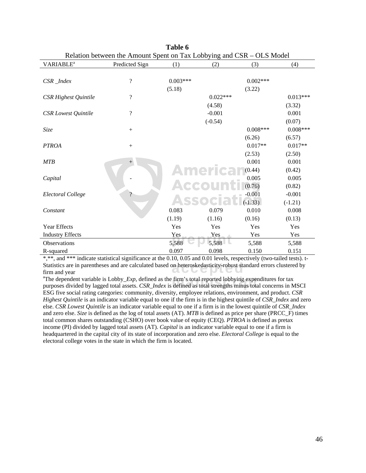|                             | Relation between the Amount Spent on Tax Lobbying and CSR – OLS Model |            |                 |            |            |
|-----------------------------|-----------------------------------------------------------------------|------------|-----------------|------------|------------|
| <b>VARIABLE<sup>a</sup></b> | Predicted Sign                                                        | (1)        | (2)             | (3)        | (4)        |
|                             |                                                                       |            |                 |            |            |
| CSR_Index                   | $\overline{\mathcal{L}}$                                              | $0.003***$ |                 | $0.002***$ |            |
|                             |                                                                       | (5.18)     |                 | (3.22)     |            |
| <b>CSR Highest Quintile</b> | $\overline{\mathcal{L}}$                                              |            | $0.022***$      |            | $0.013***$ |
|                             |                                                                       |            | (4.58)          |            | (3.32)     |
| <b>CSR</b> Lowest Quintile  | $\overline{\mathcal{L}}$                                              |            | $-0.001$        |            | 0.001      |
|                             |                                                                       |            | $(-0.54)$       |            | (0.07)     |
| Size                        | $^{+}$                                                                |            |                 | $0.008***$ | $0.008***$ |
|                             |                                                                       |            |                 | (6.26)     | (6.57)     |
| <b>PTROA</b>                | $^{+}$                                                                |            |                 | $0.017**$  | $0.017**$  |
|                             |                                                                       |            |                 | (2.53)     | (2.50)     |
| <b>MTB</b>                  | $+$                                                                   |            |                 | 0.001      | 0.001      |
|                             |                                                                       |            | <b>America</b>  | (0.44)     | (0.42)     |
| Capital                     |                                                                       |            |                 | 0.005      | 0.005      |
|                             |                                                                       |            | $\triangle GGO$ | (0.76)     | (0.82)     |
| Electoral College           | $\boldsymbol{\gamma}$                                                 |            |                 | $-0.001$   | $-0.001$   |
|                             |                                                                       |            |                 | $(-1.33)$  | $(-1.21)$  |
| Constant                    |                                                                       | 0.083      | 0.079           | 0.010      | 0.008      |
|                             |                                                                       | (1.19)     | (1.16)          | (0.16)     | (0.13)     |
| Year Effects                |                                                                       | Yes        | Yes             | Yes        | Yes        |
| <b>Industry Effects</b>     |                                                                       | Yes        | Yes             | Yes        | Yes        |
| Observations                |                                                                       | 5,588      | 5,588           | 5,588      | 5,588      |
| R-squared                   |                                                                       | 0.097      | 0.098           | 0.150      | 0.151      |

| Table 6                                                               |
|-----------------------------------------------------------------------|
| Relation between the Amount Spent on Tax Lobbying and CSR – OLS Model |

Statistics are in parentheses and are calculated based on heteroskedasticity-robust standard errors clustered by<br>firm and year \*,\*\*, and \*\*\* indicate statistical significance at the 0.10, 0.05 and 0.01 levels, respectively (two-tailed tests). tfirm and year

<sup>a</sup>The dependent variable is Lobby\_*Exp*, defined as the firm's total reported lobbying expenditures for tax purposes divided by lagged total assets. *CSR\_Index* is defined as total strengths minus total concerns in MSCI <sup>a</sup>The dependent variable is Lobby*\_Exp*, defined as the firm's total reported lobbying expenditures for tax ESG five social rating categories: community, diversity, employee relations, environment, and product. *CSR Highest Quintile* is an indicator variable equal to one if the firm is in the highest quintile of *CSR\_Index* and zero else. *CSR Lowest Quintile* is an indicator variable equal to one if a firm is in the lowest quintile of *CSR\_Index*  and zero else. *Size* is defined as the log of total assets (AT). *MTB* is defined as price per share (PRCC\_F) times total common shares outstanding (CSHO) over book value of equity (CEQ). *PTROA* is defined as pretax income (PI) divided by lagged total assets (AT). *Capital* is an indicator variable equal to one if a firm is headquartered in the capital city of its state of incorporation and zero else. *Electoral College* is equal to the electoral college votes in the state in which the firm is located.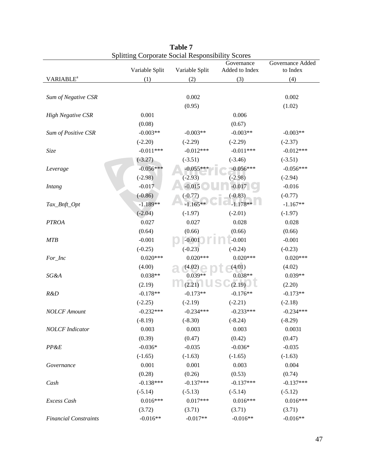|                              | Splitting Corporate Social Responsibility Scores |                | Governance     | Governance Added |
|------------------------------|--------------------------------------------------|----------------|----------------|------------------|
|                              | Variable Split                                   | Variable Split | Added to Index | to Index         |
| <b>VARIABLE<sup>a</sup></b>  | (1)                                              | (2)            | (3)            | (4)              |
|                              |                                                  |                |                |                  |
| Sum of Negative CSR          |                                                  | 0.002          |                | 0.002            |
|                              |                                                  | (0.95)         |                | (1.02)           |
| <b>High Negative CSR</b>     | 0.001                                            |                | 0.006          |                  |
|                              | (0.08)                                           |                | (0.67)         |                  |
| Sum of Positive CSR          | $-0.003**$                                       | $-0.003**$     | $-0.003**$     | $-0.003**$       |
|                              | $(-2.20)$                                        | $(-2.29)$      | $(-2.29)$      | $(-2.37)$        |
| Size                         | $-0.011***$                                      | $-0.012***$    | $-0.011***$    | $-0.012***$      |
|                              | $(-3.27)$                                        | $(-3.51)$      | $(-3.46)$      | $(-3.51)$        |
| Leverage                     | $-0.056***$                                      | $-0.055***$    | $-0.056***$    | $-0.056***$      |
|                              | $(-2.98)$                                        | $(-2.93)$      | $(-2.98)$      | $(-2.94)$        |
| <b>Intang</b>                | $-0.017$                                         | $-0.015$       | $-0.017$       | $-0.016$         |
|                              | $(-0.86)$                                        | $(-0.77)$      | $(-0.83)$      | $(-0.77)$        |
| Tax_Bnft_Opt                 | $-1.189**$                                       | $-1.165**$     | $-1.178**$     | $-1.167**$       |
|                              | $(-2.04)$                                        | $(-1.97)$      | $(-2.01)$      | $(-1.97)$        |
| <b>PTROA</b>                 | 0.027                                            | 0.027          | 0.028          | 0.028            |
|                              | (0.64)                                           | (0.66)         | (0.66)         | (0.66)           |
| <b>MTB</b>                   | $-0.001$                                         | $-0.001$       | $-0.001$       | $-0.001$         |
|                              | $(-0.25)$                                        | $(-0.23)$      | $(-0.24)$      | $(-0.23)$        |
| For_Inc                      | $0.020***$                                       | $0.020***$     | $0.020***$     | $0.020***$       |
|                              | (4.00)                                           | (4.02)         | (4.01)         | (4.02)           |
| SG&A                         | $0.038**$                                        | $0.039**$      | $0.038**$      | $0.039**$        |
|                              | (2.19)                                           | (2.21)         | (2.19)         | (2.20)           |
| R&D                          | $-0.178**$                                       | $-0.173**$     | $-0.176**$     | $-0.173**$       |
|                              | $(-2.25)$                                        | $(-2.19)$      | $(-2.21)$      | $(-2.18)$        |
| <b>NOLCF</b> Amount          | $-0.232***$                                      | $-0.234***$    | $-0.233***$    | $-0.234***$      |
|                              | $(-8.19)$                                        | $(-8.30)$      | $(-8.24)$      | $(-8.29)$        |
| <b>NOLCF</b> Indicator       | 0.003                                            | 0.003          | 0.003          | 0.0031           |
|                              | (0.39)                                           | (0.47)         | (0.42)         | (0.47)           |
| PP&E                         | $-0.036*$                                        | $-0.035$       | $-0.036*$      | $-0.035$         |
|                              | $(-1.65)$                                        | $(-1.63)$      | $(-1.65)$      | $(-1.63)$        |
| Governance                   | 0.001                                            | 0.001          | 0.003          | 0.004            |
|                              | (0.28)                                           | (0.26)         | (0.53)         | (0.74)           |
| Cash                         | $-0.138***$                                      | $-0.137***$    | $-0.137***$    | $-0.137***$      |
|                              | $(-5.14)$                                        | $(-5.13)$      | $(-5.14)$      | $(-5.12)$        |
| Excess Cash                  | $0.016***$                                       | $0.017***$     | $0.016***$     | $0.016***$       |
|                              | (3.72)                                           | (3.71)         | (3.71)         | (3.71)           |
| <b>Financial Constraints</b> | $-0.016**$                                       | $-0.017**$     | $-0.016**$     | $-0.016**$       |
|                              |                                                  |                |                |                  |

| Table 7                                                 |  |
|---------------------------------------------------------|--|
| <b>Splitting Corporate Social Responsibility Scores</b> |  |